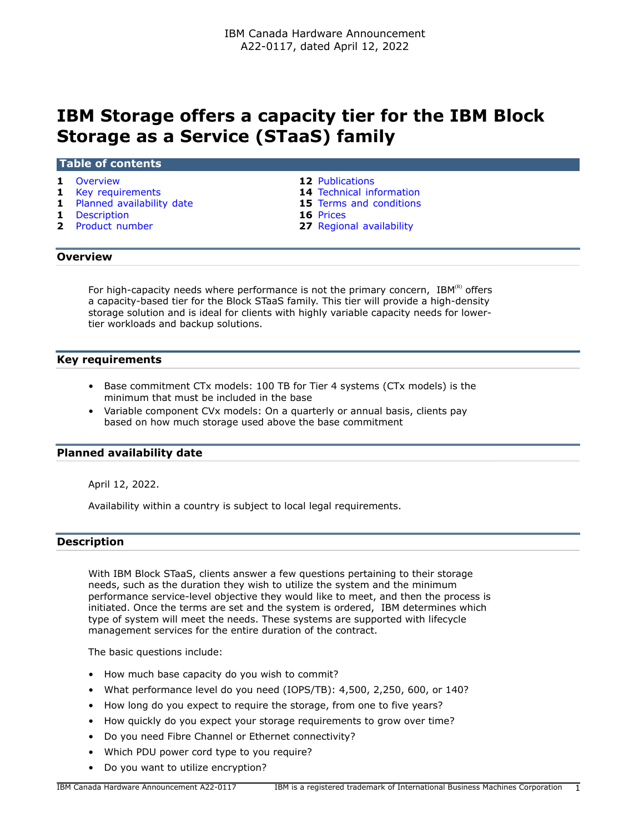# **IBM Storage offers a capacity tier for the IBM Block Storage as a Service (STaaS) family**

#### **Table of contents**

- 
- 
- **1** [Planned availability date](#page-0-2) **15** [Terms and conditions](#page-14-0)
- 
- **1** [Description](#page-0-3) **16** [Prices](#page-15-0)
- **1** [Overview](#page-0-0) **12** [Publications](#page-11-0)
- **1** [Key requirements](#page-0-1) **14** [Technical information](#page-13-0)
	-
	-
	- **27** [Regional availability](#page-26-0)

## <span id="page-0-0"></span>**Overview**

For high-capacity needs where performance is not the primary concern,  $IBM^{(R)}$  offers a capacity-based tier for the Block STaaS family. This tier will provide a high-density storage solution and is ideal for clients with highly variable capacity needs for lowertier workloads and backup solutions.

#### <span id="page-0-1"></span>**Key requirements**

- Base commitment CTx models: 100 TB for Tier 4 systems (CTx models) is the minimum that must be included in the base
- Variable component CVx models: On a quarterly or annual basis, clients pay based on how much storage used above the base commitment

#### <span id="page-0-2"></span>**Planned availability date**

April 12, 2022.

Availability within a country is subject to local legal requirements.

#### <span id="page-0-3"></span>**Description**

With IBM Block STaaS, clients answer a few questions pertaining to their storage needs, such as the duration they wish to utilize the system and the minimum performance service-level objective they would like to meet, and then the process is initiated. Once the terms are set and the system is ordered, IBM determines which type of system will meet the needs. These systems are supported with lifecycle management services for the entire duration of the contract.

The basic questions include:

- How much base capacity do you wish to commit?
- What performance level do you need (IOPS/TB): 4,500, 2,250, 600, or 140?
- How long do you expect to require the storage, from one to five years?
- How quickly do you expect your storage requirements to grow over time?
- Do you need Fibre Channel or Ethernet connectivity?
- Which PDU power cord type to you require?
- Do you want to utilize encryption?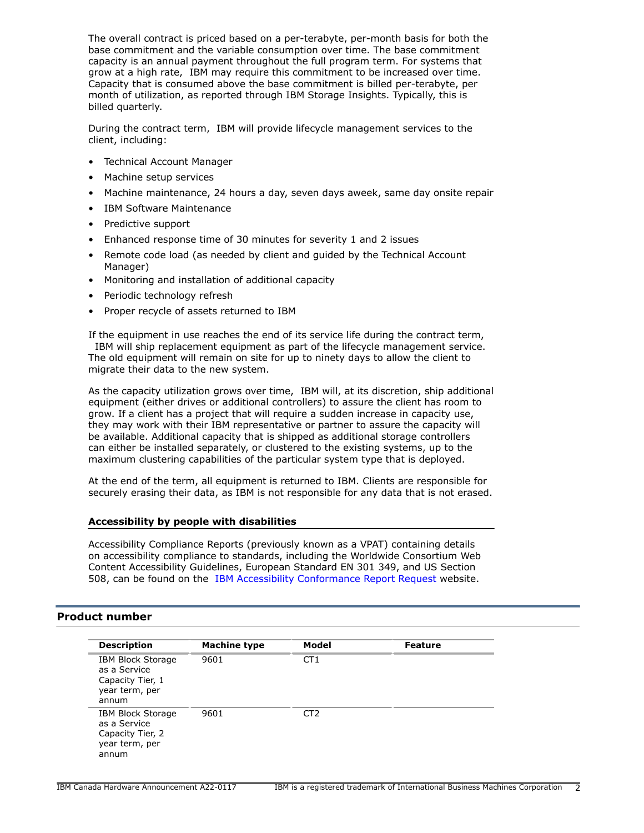The overall contract is priced based on a per-terabyte, per-month basis for both the base commitment and the variable consumption over time. The base commitment capacity is an annual payment throughout the full program term. For systems that grow at a high rate, IBM may require this commitment to be increased over time. Capacity that is consumed above the base commitment is billed per-terabyte, per month of utilization, as reported through IBM Storage Insights. Typically, this is billed quarterly.

During the contract term, IBM will provide lifecycle management services to the client, including:

- Technical Account Manager
- Machine setup services
- Machine maintenance, 24 hours a day, seven days aweek, same day onsite repair
- IBM Software Maintenance
- Predictive support
- Enhanced response time of 30 minutes for severity 1 and 2 issues
- Remote code load (as needed by client and guided by the Technical Account Manager)
- Monitoring and installation of additional capacity
- Periodic technology refresh
- Proper recycle of assets returned to IBM

If the equipment in use reaches the end of its service life during the contract term, IBM will ship replacement equipment as part of the lifecycle management service. The old equipment will remain on site for up to ninety days to allow the client to migrate their data to the new system.

As the capacity utilization grows over time, IBM will, at its discretion, ship additional equipment (either drives or additional controllers) to assure the client has room to grow. If a client has a project that will require a sudden increase in capacity use, they may work with their IBM representative or partner to assure the capacity will be available. Additional capacity that is shipped as additional storage controllers can either be installed separately, or clustered to the existing systems, up to the maximum clustering capabilities of the particular system type that is deployed.

At the end of the term, all equipment is returned to IBM. Clients are responsible for securely erasing their data, as IBM is not responsible for any data that is not erased.

#### **Accessibility by people with disabilities**

Accessibility Compliance Reports (previously known as a VPAT) containing details on accessibility compliance to standards, including the Worldwide Consortium Web Content Accessibility Guidelines, European Standard EN 301 349, and US Section 508, can be found on the [IBM Accessibility Conformance Report Request](https://able.ibm.com/request/) website.

## <span id="page-1-0"></span>**Product number**

| <b>Description</b>                                                                      | Machine type | Model           | <b>Feature</b> |
|-----------------------------------------------------------------------------------------|--------------|-----------------|----------------|
| <b>IBM Block Storage</b><br>as a Service<br>Capacity Tier, 1<br>year term, per<br>annum | 9601         | CT <sub>1</sub> |                |
| <b>IBM Block Storage</b><br>as a Service<br>Capacity Tier, 2<br>year term, per<br>annum | 9601         | CT <sub>2</sub> |                |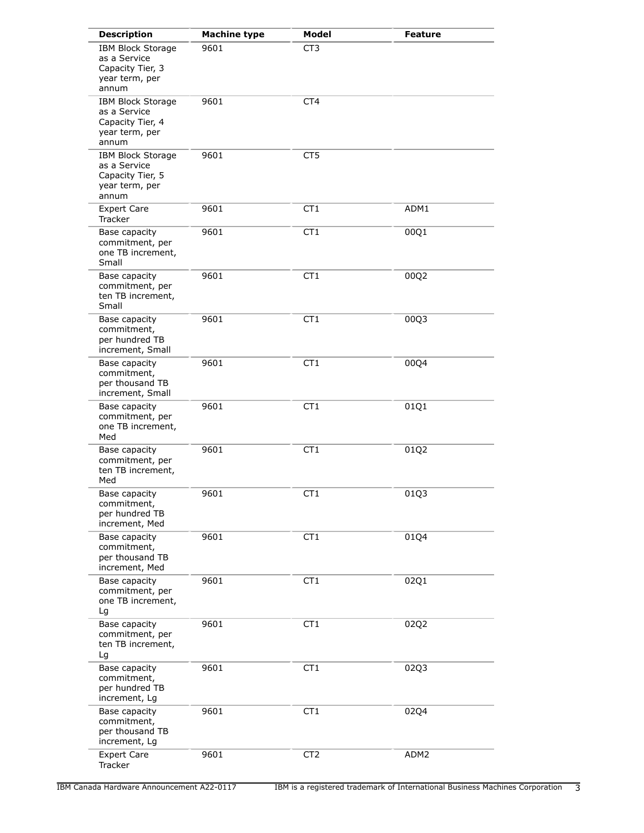| <b>Description</b>                                                                      | <b>Machine type</b> | Model           | <b>Feature</b> |
|-----------------------------------------------------------------------------------------|---------------------|-----------------|----------------|
| <b>IBM Block Storage</b><br>as a Service<br>Capacity Tier, 3<br>year term, per<br>annum | 9601                | CT <sub>3</sub> |                |
| <b>IBM Block Storage</b><br>as a Service<br>Capacity Tier, 4<br>year term, per<br>annum | 9601                | CT4             |                |
| <b>IBM Block Storage</b><br>as a Service<br>Capacity Tier, 5<br>year term, per<br>annum | 9601                | CT5             |                |
| <b>Expert Care</b><br>Tracker                                                           | 9601                | CT1             | ADM1           |
| Base capacity<br>commitment, per<br>one TB increment,<br>Small                          | 9601                | CT <sub>1</sub> | 00Q1           |
| Base capacity<br>commitment, per<br>ten TB increment,<br>Small                          | 9601                | CT <sub>1</sub> | 00Q2           |
| Base capacity<br>commitment,<br>per hundred TB<br>increment, Small                      | 9601                | CT <sub>1</sub> | 00Q3           |
| Base capacity<br>commitment,<br>per thousand TB<br>increment, Small                     | 9601                | CT <sub>1</sub> | 00Q4           |
| Base capacity<br>commitment, per<br>one TB increment,<br>Med                            | 9601                | CT1             | 01Q1           |
| Base capacity<br>commitment, per<br>ten TB increment,<br>Med                            | 9601                | CT1             | 01Q2           |
| Base capacity<br>commitment,<br>per hundred TB<br>increment, Med                        | 9601                | CT <sub>1</sub> | 01Q3           |
| Base capacity<br>commitment,<br>per thousand TB<br>increment, Med                       | 9601                | CT <sub>1</sub> | 01Q4           |
| Base capacity<br>commitment, per<br>one TB increment,<br>Lg                             | 9601                | CT <sub>1</sub> | 02Q1           |
| Base capacity<br>commitment, per<br>ten TB increment,<br>Lg                             | 9601                | CT <sub>1</sub> | 02Q2           |
| Base capacity<br>commitment,<br>per hundred TB<br>increment, Lg                         | 9601                | CT <sub>1</sub> | 02Q3           |
| Base capacity<br>commitment,<br>per thousand TB<br>increment, Lg                        | 9601                | CT <sub>1</sub> | 02Q4           |
| <b>Expert Care</b><br>Tracker                                                           | 9601                | CT <sub>2</sub> | ADM2           |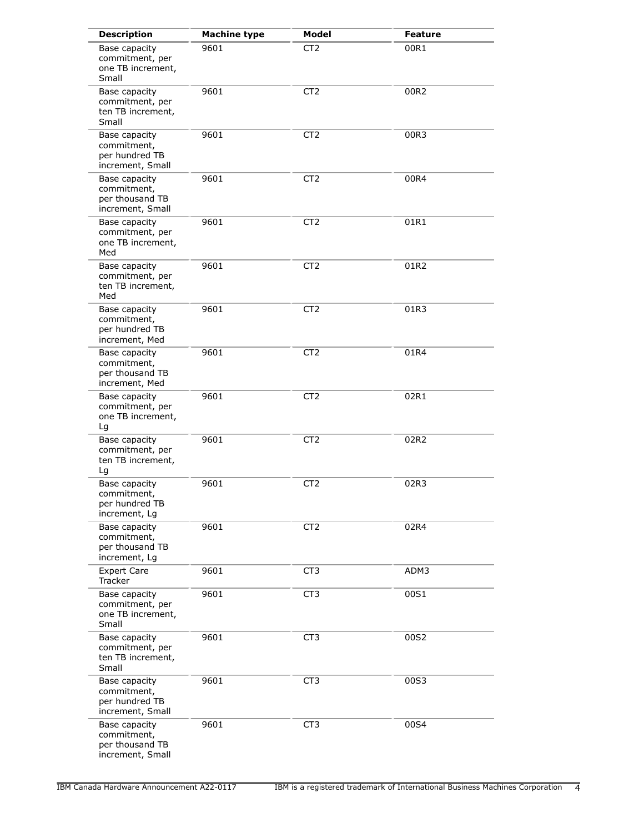| <b>Description</b>                                                  | <b>Machine type</b> | <b>Model</b>    | <b>Feature</b> |
|---------------------------------------------------------------------|---------------------|-----------------|----------------|
| Base capacity<br>commitment, per<br>one TB increment,<br>Small      | 9601                | CT <sub>2</sub> | 00R1           |
| Base capacity<br>commitment, per<br>ten TB increment,<br>Small      | 9601                | CT <sub>2</sub> | 00R2           |
| Base capacity<br>commitment,<br>per hundred TB<br>increment, Small  | 9601                | CT2             | 00R3           |
| Base capacity<br>commitment,<br>per thousand TB<br>increment, Small | 9601                | CT <sub>2</sub> | 00R4           |
| Base capacity<br>commitment, per<br>one TB increment,<br>Med        | 9601                | CT <sub>2</sub> | 01R1           |
| Base capacity<br>commitment, per<br>ten TB increment,<br>Med        | 9601                | CT <sub>2</sub> | 01R2           |
| Base capacity<br>commitment,<br>per hundred TB<br>increment, Med    | 9601                | CT <sub>2</sub> | 01R3           |
| Base capacity<br>commitment,<br>per thousand TB<br>increment, Med   | 9601                | CT <sub>2</sub> | 01R4           |
| Base capacity<br>commitment, per<br>one TB increment,<br>Lg         | 9601                | CT <sub>2</sub> | 02R1           |
| Base capacity<br>commitment, per<br>ten TB increment,<br>Lg         | 9601                | CT <sub>2</sub> | 02R2           |
| Base capacity<br>commitment,<br>per hundred TB<br>increment, Lg     | 9601                | CT <sub>2</sub> | 02R3           |
| Base capacity<br>commitment,<br>per thousand TB<br>increment, Lg    | 9601                | CT <sub>2</sub> | 02R4           |
| <b>Expert Care</b><br>Tracker                                       | 9601                | CT3             | ADM3           |
| Base capacity<br>commitment, per<br>one TB increment,<br>Small      | 9601                | CT <sub>3</sub> | 00S1           |
| Base capacity<br>commitment, per<br>ten TB increment,<br>Small      | 9601                | CT <sub>3</sub> | 00S2           |
| Base capacity<br>commitment,<br>per hundred TB<br>increment, Small  | 9601                | CT <sub>3</sub> | 00S3           |
| Base capacity<br>commitment,<br>per thousand TB<br>increment, Small | 9601                | CT <sub>3</sub> | 00S4           |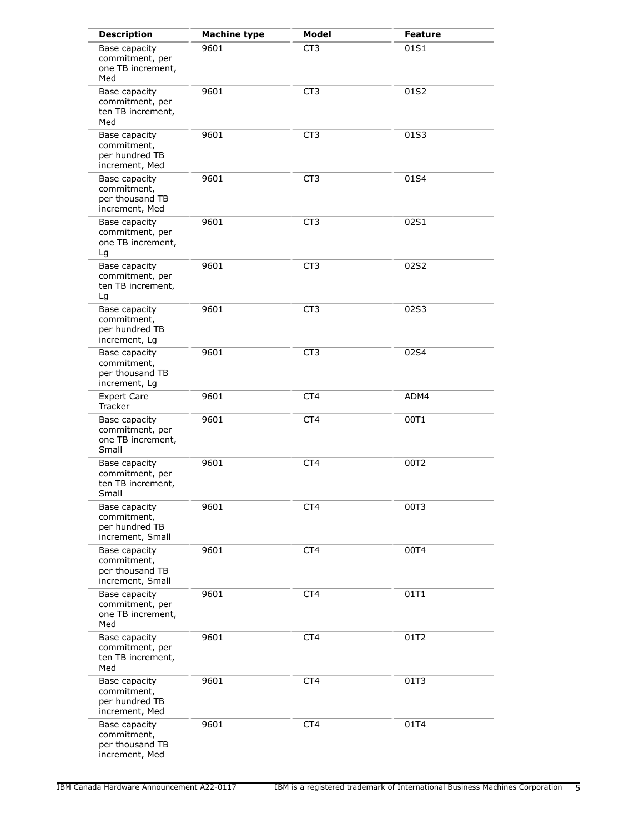| <b>Description</b>                                                  | <b>Machine type</b> | Model           | <b>Feature</b> |
|---------------------------------------------------------------------|---------------------|-----------------|----------------|
| Base capacity<br>commitment, per<br>one TB increment,<br>Med        | 9601                | CT <sub>3</sub> | 01S1           |
| Base capacity<br>commitment, per<br>ten TB increment,<br>Med        | 9601                | CT3             | 01S2           |
| Base capacity<br>commitment,<br>per hundred TB<br>increment, Med    | 9601                | CT3             | 01S3           |
| Base capacity<br>commitment,<br>per thousand TB<br>increment, Med   | 9601                | CT3             | 01S4           |
| Base capacity<br>commitment, per<br>one TB increment,<br>Lg         | 9601                | CT <sub>3</sub> | 02S1           |
| Base capacity<br>commitment, per<br>ten TB increment,<br>Lg         | 9601                | CT <sub>3</sub> | 02S2           |
| Base capacity<br>commitment,<br>per hundred TB<br>increment, Lg     | 9601                | CT <sub>3</sub> | 02S3           |
| Base capacity<br>commitment,<br>per thousand TB<br>increment, Lg    | 9601                | CT <sub>3</sub> | 02S4           |
| <b>Expert Care</b><br>Tracker                                       | 9601                | CT4             | ADM4           |
| Base capacity<br>commitment, per<br>one TB increment,<br>Small      | 9601                | CT4             | 00T1           |
| Base capacity<br>commitment, per<br>ten TB increment,<br>Small      | 9601                | CT4             | 00T2           |
| Base capacity<br>commitment,<br>per hundred TB<br>increment, Small  | 9601                | CT4             | 00T3           |
| Base capacity<br>commitment,<br>per thousand TB<br>increment, Small | 9601                | CT <sub>4</sub> | 00T4           |
| Base capacity<br>commitment, per<br>one TB increment,<br>Med        | 9601                | CT4             | 01T1           |
| Base capacity<br>commitment, per<br>ten TB increment,<br>Med        | 9601                | CT <sub>4</sub> | 01T2           |
| Base capacity<br>commitment,<br>per hundred TB<br>increment, Med    | 9601                | CT4             | 01T3           |
| Base capacity<br>commitment,<br>per thousand TB<br>increment, Med   | 9601                | CT4             | 01T4           |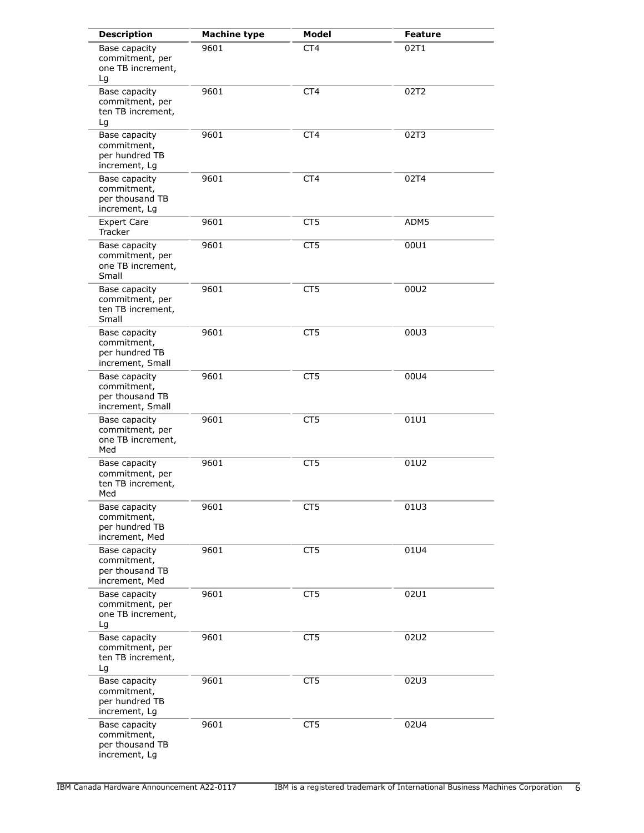| <b>Description</b>                                                  | <b>Machine type</b> | Model           | <b>Feature</b> |
|---------------------------------------------------------------------|---------------------|-----------------|----------------|
| Base capacity<br>commitment, per<br>one TB increment,<br>Lg         | 9601                | CT <sub>4</sub> | 02T1           |
| Base capacity<br>commitment, per<br>ten TB increment,<br>Lg         | 9601                | CT <sub>4</sub> | 02T2           |
| Base capacity<br>commitment,<br>per hundred TB<br>increment, Lg     | 9601                | CT <sub>4</sub> | 02T3           |
| Base capacity<br>commitment,<br>per thousand TB<br>increment, Lg    | 9601                | CT4             | 02T4           |
| <b>Expert Care</b><br>Tracker                                       | 9601                | CT <sub>5</sub> | ADM5           |
| Base capacity<br>commitment, per<br>one TB increment,<br>Small      | 9601                | CT <sub>5</sub> | 00U1           |
| Base capacity<br>commitment, per<br>ten TB increment,<br>Small      | 9601                | CT <sub>5</sub> | 00U2           |
| Base capacity<br>commitment,<br>per hundred TB<br>increment, Small  | 9601                | CT <sub>5</sub> | 00U3           |
| Base capacity<br>commitment,<br>per thousand TB<br>increment, Small | 9601                | CT <sub>5</sub> | 00U4           |
| Base capacity<br>commitment, per<br>one TB increment,<br>Med        | 9601                | CT5             | 01U1           |
| Base capacity<br>commitment, per<br>ten TB increment,<br>Med        | 9601                | CT5             | 01U2           |
| Base capacity<br>commitment,<br>per hundred TB<br>increment, Med    | 9601                | CT5             | 01U3           |
| Base capacity<br>commitment,<br>per thousand TB<br>increment, Med   | 9601                | CT5             | 01U4           |
| Base capacity<br>commitment, per<br>one TB increment,<br>Lg         | 9601                | CT <sub>5</sub> | 02U1           |
| Base capacity<br>commitment, per<br>ten TB increment,<br>Lg         | 9601                | CT5             | 02U2           |
| Base capacity<br>commitment,<br>per hundred TB<br>increment, Lg     | 9601                | CT <sub>5</sub> | 02U3           |
| Base capacity<br>commitment,<br>per thousand TB<br>increment, Lg    | 9601                | CT <sub>5</sub> | 02U4           |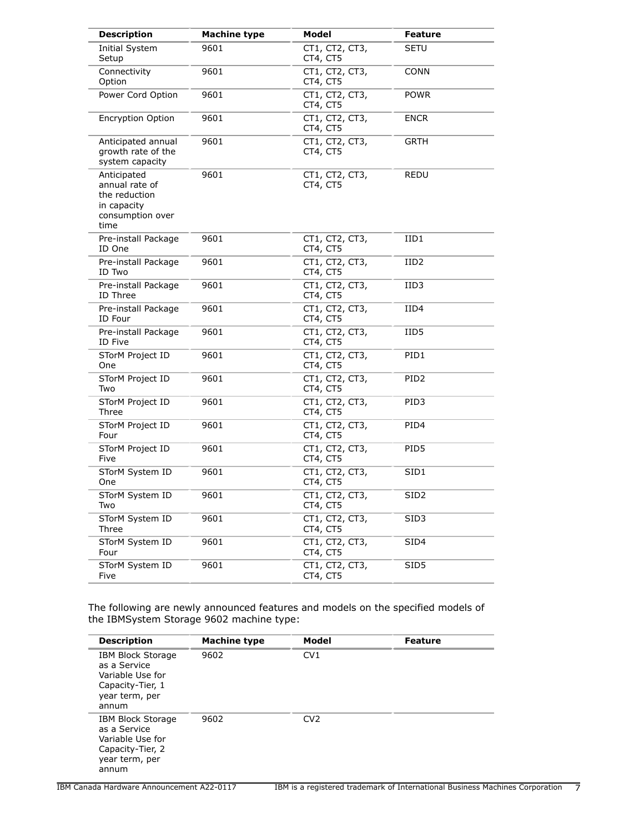| <b>Description</b>                                                                        | <b>Machine type</b> | Model                      | <b>Feature</b>   |
|-------------------------------------------------------------------------------------------|---------------------|----------------------------|------------------|
| Initial System<br>Setup                                                                   | 9601                | CT1, CT2, CT3,<br>CT4, CT5 | SETU             |
| Connectivity<br>Option                                                                    | 9601                | CT1, CT2, CT3,<br>CT4, CT5 | CONN             |
| Power Cord Option                                                                         | 9601                | CT1, CT2, CT3,<br>CT4, CT5 | POWR             |
| <b>Encryption Option</b>                                                                  | 9601                | CT1, CT2, CT3,<br>CT4, CT5 | <b>ENCR</b>      |
| Anticipated annual<br>growth rate of the<br>system capacity                               | 9601                | CT1, CT2, CT3,<br>CT4, CT5 | <b>GRTH</b>      |
| Anticipated<br>annual rate of<br>the reduction<br>in capacity<br>consumption over<br>time | 9601                | CT1, CT2, CT3,<br>CT4, CT5 | REDU             |
| Pre-install Package<br>ID One                                                             | 9601                | CT1, CT2, CT3,<br>CT4, CT5 | IID1             |
| Pre-install Package<br>ID Two                                                             | 9601                | CT1, CT2, CT3,<br>CT4, CT5 | IID2             |
| Pre-install Package<br>ID Three                                                           | 9601                | CT1, CT2, CT3,<br>CT4, CT5 | IID3             |
| Pre-install Package<br>ID Four                                                            | 9601                | CT1, CT2, CT3,<br>CT4, CT5 | IID4             |
| Pre-install Package<br>ID Five                                                            | 9601                | CT1, CT2, CT3,<br>CT4, CT5 | IID5             |
| STorM Project ID<br>One                                                                   | 9601                | CT1, CT2, CT3,<br>CT4, CT5 | PID1             |
| STorM Project ID<br>Two                                                                   | 9601                | CT1, CT2, CT3,<br>CT4, CT5 | PID <sub>2</sub> |
| STorM Project ID<br>Three                                                                 | 9601                | CT1, CT2, CT3,<br>CT4, CT5 | PID3             |
| STorM Project ID<br>Four                                                                  | 9601                | CT1, CT2, CT3,<br>CT4, CT5 | PID4             |
| STorM Project ID<br>Five                                                                  | 9601                | CT1, CT2, CT3,<br>CT4, CT5 | PID5             |
| STorM System ID<br>One                                                                    | 9601                | CT1, CT2, CT3,<br>CT4, CT5 | SID1             |
| STorM System ID<br>Two                                                                    | 9601                | CT1, CT2, CT3,<br>CT4, CT5 | SID2             |
| STorM System ID<br>Three                                                                  | 9601                | CT1, CT2, CT3,<br>CT4, CT5 | SID3             |
| STorM System ID<br>Four                                                                   | 9601                | CT1, CT2, CT3,<br>CT4, CT5 | SID4             |
| STorM System ID<br>Five                                                                   | 9601                | CT1, CT2, CT3,<br>CT4, CT5 | SID <sub>5</sub> |

The following are newly announced features and models on the specified models of the IBMSystem Storage 9602 machine type:

| <b>Description</b>                                                                                          | <b>Machine type</b> | Model           | Feature |
|-------------------------------------------------------------------------------------------------------------|---------------------|-----------------|---------|
| <b>IBM Block Storage</b><br>as a Service<br>Variable Use for<br>Capacity-Tier, 1<br>year term, per<br>annum | 9602                | CV1             |         |
| <b>IBM Block Storage</b><br>as a Service<br>Variable Use for<br>Capacity-Tier, 2<br>year term, per<br>annum | 9602                | CV <sub>2</sub> |         |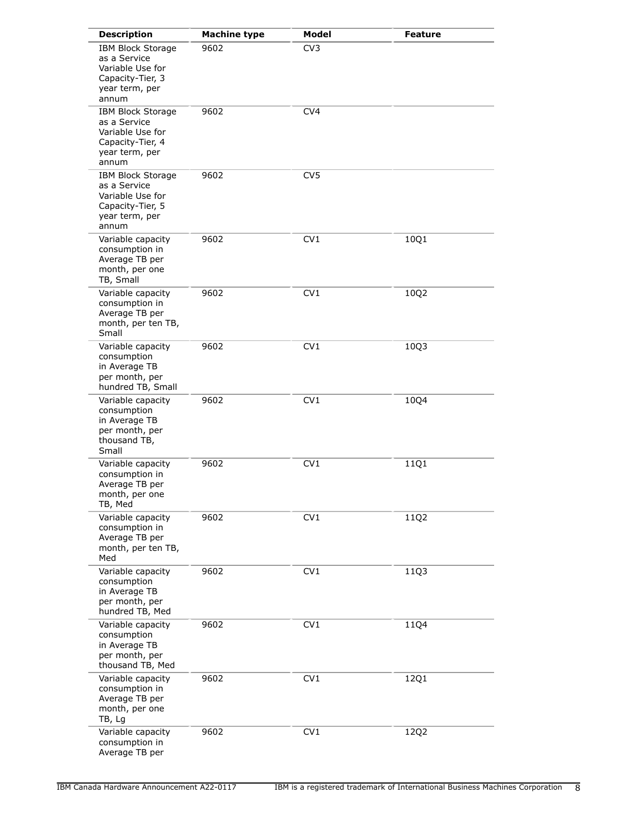| <b>Description</b>                                                                                          | <b>Machine type</b> | Model           | <b>Feature</b> |
|-------------------------------------------------------------------------------------------------------------|---------------------|-----------------|----------------|
| <b>IBM Block Storage</b><br>as a Service<br>Variable Use for<br>Capacity-Tier, 3<br>year term, per<br>annum | 9602                | CV3             |                |
| <b>IBM Block Storage</b><br>as a Service<br>Variable Use for<br>Capacity-Tier, 4<br>year term, per<br>annum | 9602                | CV <sub>4</sub> |                |
| <b>IBM Block Storage</b><br>as a Service<br>Variable Use for<br>Capacity-Tier, 5<br>year term, per<br>annum | 9602                | CV <sub>5</sub> |                |
| Variable capacity<br>consumption in<br>Average TB per<br>month, per one<br>TB, Small                        | 9602                | CV1             | 10Q1           |
| Variable capacity<br>consumption in<br>Average TB per<br>month, per ten TB,<br>Small                        | 9602                | CV1             | 10Q2           |
| Variable capacity<br>consumption<br>in Average TB<br>per month, per<br>hundred TB, Small                    | 9602                | CV <sub>1</sub> | 10Q3           |
| Variable capacity<br>consumption<br>in Average TB<br>per month, per<br>thousand TB,<br>Small                | 9602                | CV1             | 10Q4           |
| Variable capacity<br>consumption in<br>Average TB per<br>month, per one<br>TB, Med                          | 9602                | CV <sub>1</sub> | 11Q1           |
| Variable capacity<br>consumption in<br>Average TB per<br>month, per ten TB,<br>Med                          | 9602                | CV1             | 11Q2           |
| Variable capacity<br>consumption<br>in Average TB<br>per month, per<br>hundred TB, Med                      | 9602                | CV1             | 11Q3           |
| Variable capacity<br>consumption<br>in Average TB<br>per month, per<br>thousand TB, Med                     | 9602                | CV1             | 11Q4           |
| Variable capacity<br>consumption in<br>Average TB per<br>month, per one<br>TB, Lg                           | 9602                | CV <sub>1</sub> | 12Q1           |
| Variable capacity<br>consumption in<br>Average TB per                                                       | 9602                | CV1             | 12Q2           |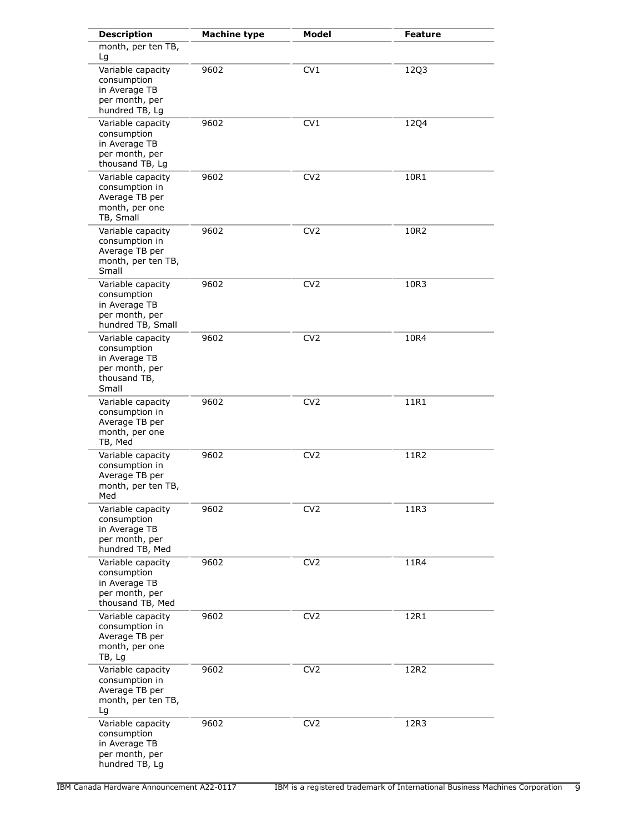| <b>Description</b>                                                                           | <b>Machine type</b> | <b>Model</b>    | <b>Feature</b> |
|----------------------------------------------------------------------------------------------|---------------------|-----------------|----------------|
| month, per ten TB,<br>Lg                                                                     |                     |                 |                |
| Variable capacity<br>consumption<br>in Average TB<br>per month, per<br>hundred TB, Lg        | 9602                | CV1             | 12Q3           |
| Variable capacity<br>consumption<br>in Average TB<br>per month, per<br>thousand TB, Lg       | 9602                | CV1             | 12Q4           |
| Variable capacity<br>consumption in<br>Average TB per<br>month, per one<br>TB, Small         | 9602                | CV <sub>2</sub> | 10R1           |
| Variable capacity<br>consumption in<br>Average TB per<br>month, per ten TB,<br>Small         | 9602                | CV <sub>2</sub> | 10R2           |
| Variable capacity<br>consumption<br>in Average TB<br>per month, per<br>hundred TB, Small     | 9602                | CV <sub>2</sub> | 10R3           |
| Variable capacity<br>consumption<br>in Average TB<br>per month, per<br>thousand TB,<br>Small | 9602                | CV <sub>2</sub> | 10R4           |
| Variable capacity<br>consumption in<br>Average TB per<br>month, per one<br>TB, Med           | 9602                | CV <sub>2</sub> | 11R1           |
| Variable capacity<br>consumption in<br>Average TB per<br>month, per ten TB,<br>Med           | 9602                | CV <sub>2</sub> | 11R2           |
| Variable capacity<br>consumption<br>in Average TB<br>per month, per<br>hundred TB, Med       | 9602                | CV <sub>2</sub> | 11R3           |
| Variable capacity<br>consumption<br>in Average TB<br>per month, per<br>thousand TB, Med      | 9602                | CV <sub>2</sub> | 11R4           |
| Variable capacity<br>consumption in<br>Average TB per<br>month, per one<br>TB, Lg            | 9602                | CV <sub>2</sub> | 12R1           |
| Variable capacity<br>consumption in<br>Average TB per<br>month, per ten TB,<br>Lg            | 9602                | CV <sub>2</sub> | 12R2           |
| Variable capacity<br>consumption<br>in Average TB<br>per month, per<br>hundred TB, Lg        | 9602                | CV <sub>2</sub> | 12R3           |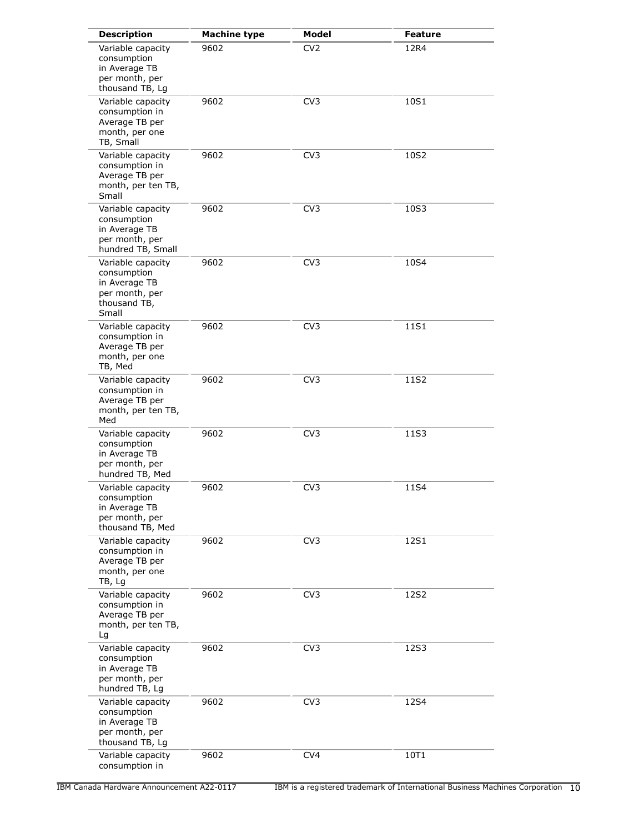| <b>Description</b>                                                                           | <b>Machine type</b> | Model           | <b>Feature</b> |
|----------------------------------------------------------------------------------------------|---------------------|-----------------|----------------|
| Variable capacity<br>consumption<br>in Average TB<br>per month, per<br>thousand TB, Lg       | 9602                | CV <sub>2</sub> | 12R4           |
| Variable capacity<br>consumption in<br>Average TB per<br>month, per one<br>TB, Small         | 9602                | CV3             | 10S1           |
| Variable capacity<br>consumption in<br>Average TB per<br>month, per ten TB,<br>Small         | 9602                | CV <sub>3</sub> | 10S2           |
| Variable capacity<br>consumption<br>in Average TB<br>per month, per<br>hundred TB, Small     | 9602                | CV <sub>3</sub> | 10S3           |
| Variable capacity<br>consumption<br>in Average TB<br>per month, per<br>thousand TB,<br>Small | 9602                | CV <sub>3</sub> | 10S4           |
| Variable capacity<br>consumption in<br>Average TB per<br>month, per one<br>TB, Med           | 9602                | CV <sub>3</sub> | 11S1           |
| Variable capacity<br>consumption in<br>Average TB per<br>month, per ten TB,<br>Med           | 9602                | CV <sub>3</sub> | 11S2           |
| Variable capacity<br>consumption<br>in Average TB<br>per month, per<br>hundred TB, Med       | 9602                | CV <sub>3</sub> | 11S3           |
| Variable capacity<br>consumption<br>in Average TB<br>per month, per<br>thousand TB, Med      | 9602                | CV <sub>3</sub> | 11S4           |
| Variable capacity<br>consumption in<br>Average TB per<br>month, per one<br>TB, Lg            | 9602                | CV <sub>3</sub> | 12S1           |
| Variable capacity<br>consumption in<br>Average TB per<br>month, per ten TB,<br>Lg            | 9602                | CV <sub>3</sub> | 12S2           |
| Variable capacity<br>consumption<br>in Average TB<br>per month, per<br>hundred TB, Lg        | 9602                | CV <sub>3</sub> | 12S3           |
| Variable capacity<br>consumption<br>in Average TB<br>per month, per<br>thousand TB, Lg       | 9602                | CV <sub>3</sub> | 12S4           |
| Variable capacity<br>consumption in                                                          | 9602                | CV <sub>4</sub> | 10T1           |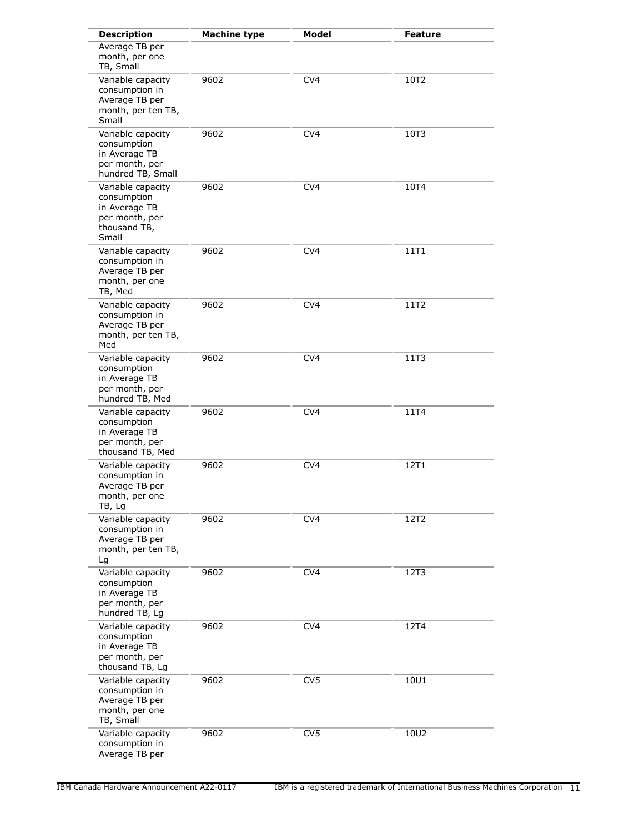| <b>Description</b>                                                                           | <b>Machine type</b> | Model           | <b>Feature</b> |
|----------------------------------------------------------------------------------------------|---------------------|-----------------|----------------|
| Average TB per<br>month, per one<br>TB, Small                                                |                     |                 |                |
| Variable capacity<br>consumption in<br>Average TB per<br>month, per ten TB,<br>Small         | 9602                | CV <sub>4</sub> | 10T2           |
| Variable capacity<br>consumption<br>in Average TB<br>per month, per<br>hundred TB, Small     | 9602                | CV <sub>4</sub> | 10T3           |
| Variable capacity<br>consumption<br>in Average TB<br>per month, per<br>thousand TB,<br>Small | 9602                | CV <sub>4</sub> | 10T4           |
| Variable capacity<br>consumption in<br>Average TB per<br>month, per one<br>TB, Med           | 9602                | CV <sub>4</sub> | 11T1           |
| Variable capacity<br>consumption in<br>Average TB per<br>month, per ten TB,<br>Med           | 9602                | CV <sub>4</sub> | 11T2           |
| Variable capacity<br>consumption<br>in Average TB<br>per month, per<br>hundred TB, Med       | 9602                | CV4             | 11T3           |
| Variable capacity<br>consumption<br>in Average TB<br>per month, per<br>thousand TB, Med      | 9602                | CV4             | 11T4           |
| Variable capacity<br>consumption in<br>Average TB per<br>month, per one<br>TB, Lg            | 9602                | CV4             | 12T1           |
| Variable capacity<br>consumption in<br>Average TB per<br>month, per ten TB,<br>Lg            | 9602                | CV4             | 12T2           |
| Variable capacity<br>consumption<br>in Average TB<br>per month, per<br>hundred TB, Lg        | 9602                | CV <sub>4</sub> | 12T3           |
| Variable capacity<br>consumption<br>in Average TB<br>per month, per<br>thousand TB, Lg       | 9602                | CV <sub>4</sub> | 12T4           |
| Variable capacity<br>consumption in<br>Average TB per<br>month, per one<br>TB, Small         | 9602                | CV <sub>5</sub> | 10U1           |
| Variable capacity<br>consumption in<br>Average TB per                                        | 9602                | CV <sub>5</sub> | 10U2           |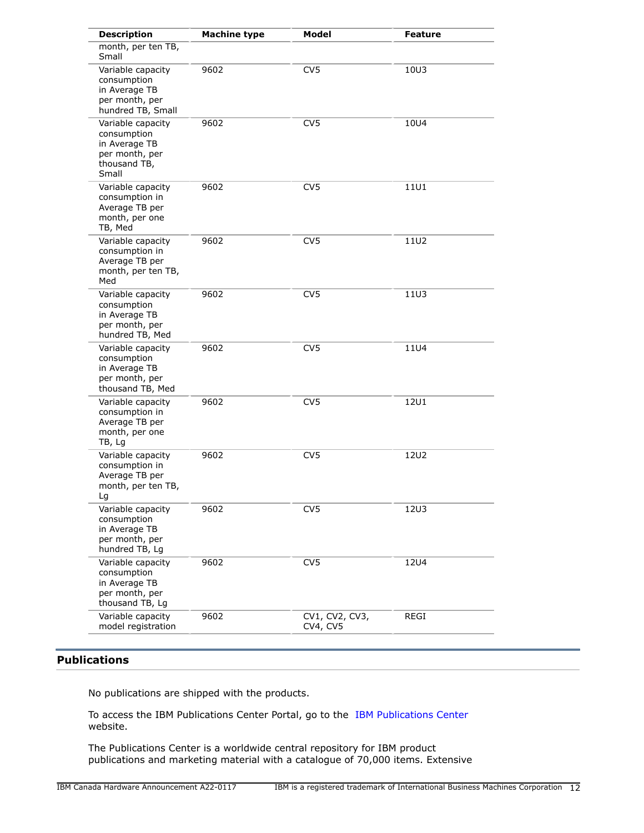| <b>Description</b>                                                                           | <b>Machine type</b> | <b>Model</b>               | <b>Feature</b> |
|----------------------------------------------------------------------------------------------|---------------------|----------------------------|----------------|
| month, per ten TB,<br>Small                                                                  |                     |                            |                |
| Variable capacity<br>consumption<br>in Average TB<br>per month, per<br>hundred TB, Small     | 9602                | CV <sub>5</sub>            | 10U3           |
| Variable capacity<br>consumption<br>in Average TB<br>per month, per<br>thousand TB,<br>Small | 9602                | CV <sub>5</sub>            | 10U4           |
| Variable capacity<br>consumption in<br>Average TB per<br>month, per one<br>TB, Med           | 9602                | CV <sub>5</sub>            | 11U1           |
| Variable capacity<br>consumption in<br>Average TB per<br>month, per ten TB,<br>Med           | 9602                | CV <sub>5</sub>            | 11U2           |
| Variable capacity<br>consumption<br>in Average TB<br>per month, per<br>hundred TB, Med       | 9602                | CV <sub>5</sub>            | 11U3           |
| Variable capacity<br>consumption<br>in Average TB<br>per month, per<br>thousand TB, Med      | 9602                | CV <sub>5</sub>            | 11U4           |
| Variable capacity<br>consumption in<br>Average TB per<br>month, per one<br>TB, Lg            | 9602                | CV <sub>5</sub>            | <b>12U1</b>    |
| Variable capacity<br>consumption in<br>Average TB per<br>month, per ten TB,<br>Lg            | 9602                | CV <sub>5</sub>            | 12U2           |
| Variable capacity<br>consumption<br>in Average TB<br>per month, per<br>hundred TB, Lg        | 9602                | CV <sub>5</sub>            | <b>12U3</b>    |
| Variable capacity<br>consumption<br>in Average TB<br>per month, per<br>thousand TB, Lg       | 9602                | CV <sub>5</sub>            | <b>12U4</b>    |
| Variable capacity<br>model registration                                                      | 9602                | CV1, CV2, CV3,<br>CV4, CV5 | REGI           |

## <span id="page-11-0"></span>**Publications**

No publications are shipped with the products.

To access the IBM Publications Center Portal, go to the [IBM Publications Center](https://www.ibm.com/resources/publications) website.

The Publications Center is a worldwide central repository for IBM product publications and marketing material with a catalogue of 70,000 items. Extensive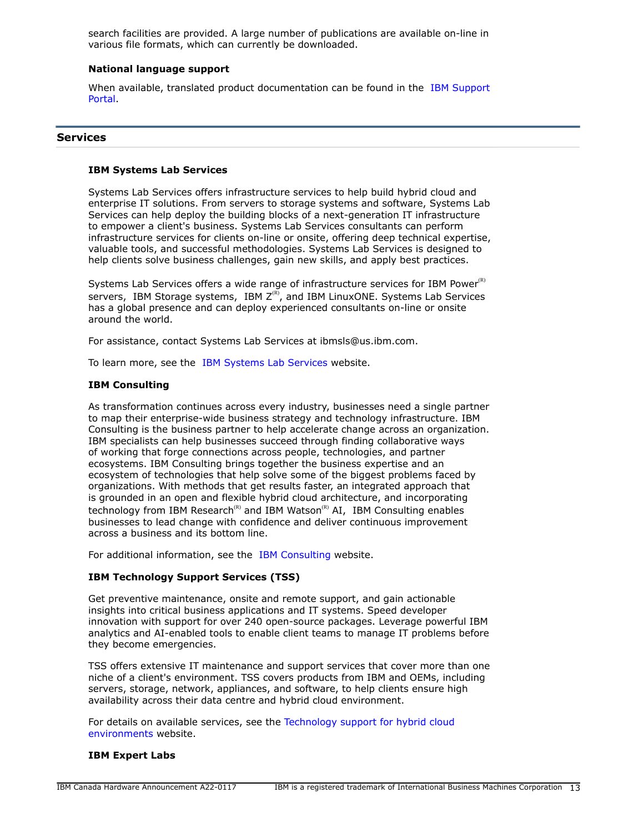search facilities are provided. A large number of publications are available on-line in various file formats, which can currently be downloaded.

#### **National language support**

When available, translated product documentation can be found in the [IBM Support](http://www.ibm.com/support) [Portal.](http://www.ibm.com/support)

#### **Services**

#### **IBM Systems Lab Services**

Systems Lab Services offers infrastructure services to help build hybrid cloud and enterprise IT solutions. From servers to storage systems and software, Systems Lab Services can help deploy the building blocks of a next-generation IT infrastructure to empower a client's business. Systems Lab Services consultants can perform infrastructure services for clients on-line or onsite, offering deep technical expertise, valuable tools, and successful methodologies. Systems Lab Services is designed to help clients solve business challenges, gain new skills, and apply best practices.

Systems Lab Services offers a wide range of infrastructure services for IBM Power $R$ ) servers, IBM Storage systems, IBM  $Z^{(R)}$ , and IBM LinuxONE. Systems Lab Services has a global presence and can deploy experienced consultants on-line or onsite around the world.

For assistance, contact Systems Lab Services at ibmsls@us.ibm.com.

To learn more, see the [IBM Systems Lab Services](https://www.ibm.com/it-infrastructure/services/lab-services) website.

## **IBM Consulting**

As transformation continues across every industry, businesses need a single partner to map their enterprise-wide business strategy and technology infrastructure. IBM Consulting is the business partner to help accelerate change across an organization. IBM specialists can help businesses succeed through finding collaborative ways of working that forge connections across people, technologies, and partner ecosystems. IBM Consulting brings together the business expertise and an ecosystem of technologies that help solve some of the biggest problems faced by organizations. With methods that get results faster, an integrated approach that is grounded in an open and flexible hybrid cloud architecture, and incorporating technology from IBM Research<sup>(R)</sup> and IBM Watson<sup>(R)</sup> AI, IBM Consulting enables businesses to lead change with confidence and deliver continuous improvement across a business and its bottom line.

For additional information, see the [IBM Consulting](https://www.ibm.com/consulting) website.

## **IBM Technology Support Services (TSS)**

Get preventive maintenance, onsite and remote support, and gain actionable insights into critical business applications and IT systems. Speed developer innovation with support for over 240 open-source packages. Leverage powerful IBM analytics and AI-enabled tools to enable client teams to manage IT problems before they become emergencies.

TSS offers extensive IT maintenance and support services that cover more than one niche of a client's environment. TSS covers products from IBM and OEMs, including servers, storage, network, appliances, and software, to help clients ensure high availability across their data centre and hybrid cloud environment.

For details on available services, see the [Technology support for hybrid cloud](https://www.ibm.com/services/technology-support) [environments](https://www.ibm.com/services/technology-support) website.

#### **IBM Expert Labs**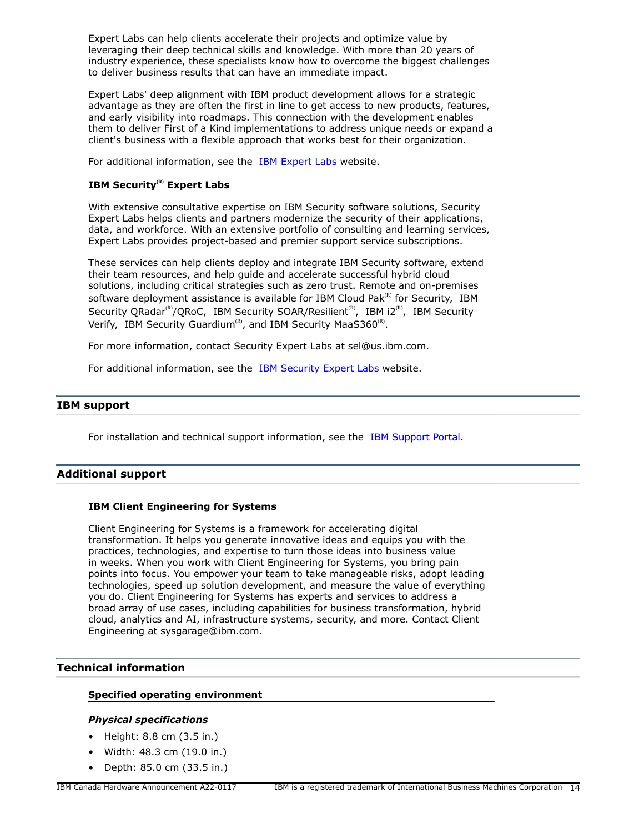Expert Labs can help clients accelerate their projects and optimize value by leveraging their deep technical skills and knowledge. With more than 20 years of industry experience, these specialists know how to overcome the biggest challenges to deliver business results that can have an immediate impact.

Expert Labs' deep alignment with IBM product development allows for a strategic advantage as they are often the first in line to get access to new products, features, and early visibility into roadmaps. This connection with the development enables them to deliver First of a Kind implementations to address unique needs or expand a client's business with a flexible approach that works best for their organization.

For additional information, see the [IBM Expert Labs](https://www.ibm.com/products/expertlabs) website.

## **IBM Security(R) Expert Labs**

With extensive consultative expertise on IBM Security software solutions, Security Expert Labs helps clients and partners modernize the security of their applications, data, and workforce. With an extensive portfolio of consulting and learning services, Expert Labs provides project-based and premier support service subscriptions.

These services can help clients deploy and integrate IBM Security software, extend their team resources, and help guide and accelerate successful hybrid cloud solutions, including critical strategies such as zero trust. Remote and on-premises software deployment assistance is available for IBM Cloud Pak $R$ <sup>(R)</sup> for Security, IBM Security QRadar<sup>(R)</sup>/QRoC, IBM Security SOAR/Resilient<sup>(R)</sup>, IBM i2<sup>(R)</sup>, IBM Security Verify, IBM Security Guardium<sup>(R)</sup>, and IBM Security MaaS360<sup>(R)</sup>.

For more information, contact Security Expert Labs at sel@us.ibm.com.

For additional information, see the [IBM Security Expert Labs](https://www.ibm.com/security/security-expert-labs) website.

### **IBM support**

For installation and technical support information, see the [IBM Support Portal.](https://www.ibm.com/mysupport/s/?language=en_US)

## **Additional support**

#### **IBM Client Engineering for Systems**

Client Engineering for Systems is a framework for accelerating digital transformation. It helps you generate innovative ideas and equips you with the practices, technologies, and expertise to turn those ideas into business value in weeks. When you work with Client Engineering for Systems, you bring pain points into focus. You empower your team to take manageable risks, adopt leading technologies, speed up solution development, and measure the value of everything you do. Client Engineering for Systems has experts and services to address a broad array of use cases, including capabilities for business transformation, hybrid cloud, analytics and AI, infrastructure systems, security, and more. Contact Client Engineering at sysgarage@ibm.com.

## <span id="page-13-0"></span>**Technical information**

#### **Specified operating environment**

#### *Physical specifications*

- Height: 8.8 cm (3.5 in.)
- Width: 48.3 cm (19.0 in.)
- Depth: 85.0 cm (33.5 in.)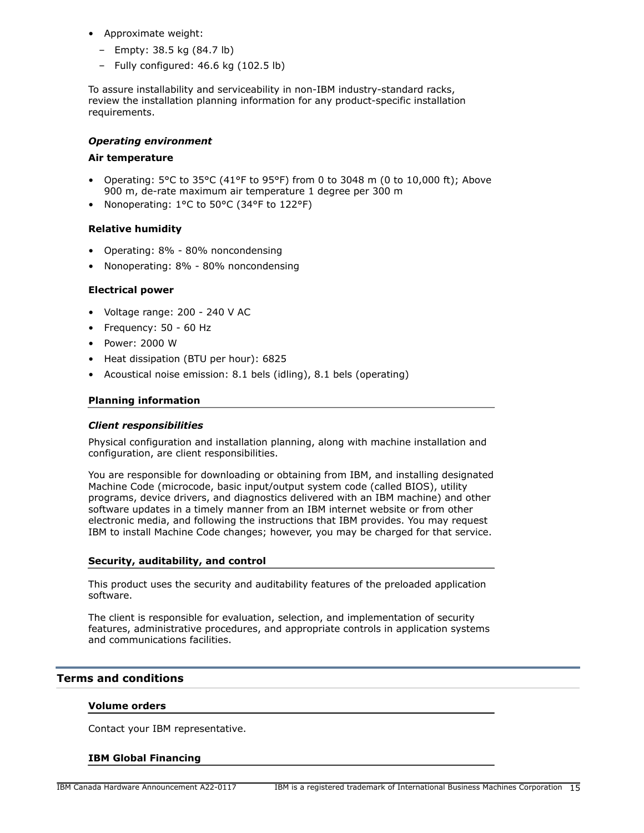- Approximate weight:
	- Empty: 38.5 kg (84.7 lb)
	- Fully configured: 46.6 kg (102.5 lb)

To assure installability and serviceability in non-IBM industry-standard racks, review the installation planning information for any product-specific installation requirements.

## *Operating environment*

#### **Air temperature**

- Operating:  $5^{\circ}$ C to  $35^{\circ}$ C (41°F to 95°F) from 0 to 3048 m (0 to 10,000 ft); Above 900 m, de-rate maximum air temperature 1 degree per 300 m
- Nonoperating: 1°C to 50°C (34°F to 122°F)

## **Relative humidity**

- Operating: 8% 80% noncondensing
- Nonoperating: 8% 80% noncondensing

#### **Electrical power**

- Voltage range: 200 240 V AC
- Frequency: 50 60 Hz
- Power: 2000 W
- Heat dissipation (BTU per hour): 6825
- Acoustical noise emission: 8.1 bels (idling), 8.1 bels (operating)

#### **Planning information**

#### *Client responsibilities*

Physical configuration and installation planning, along with machine installation and configuration, are client responsibilities.

You are responsible for downloading or obtaining from IBM, and installing designated Machine Code (microcode, basic input/output system code (called BIOS), utility programs, device drivers, and diagnostics delivered with an IBM machine) and other software updates in a timely manner from an IBM internet website or from other electronic media, and following the instructions that IBM provides. You may request IBM to install Machine Code changes; however, you may be charged for that service.

#### **Security, auditability, and control**

This product uses the security and auditability features of the preloaded application software.

The client is responsible for evaluation, selection, and implementation of security features, administrative procedures, and appropriate controls in application systems and communications facilities.

#### <span id="page-14-0"></span>**Terms and conditions**

#### **Volume orders**

Contact your IBM representative.

#### **IBM Global Financing**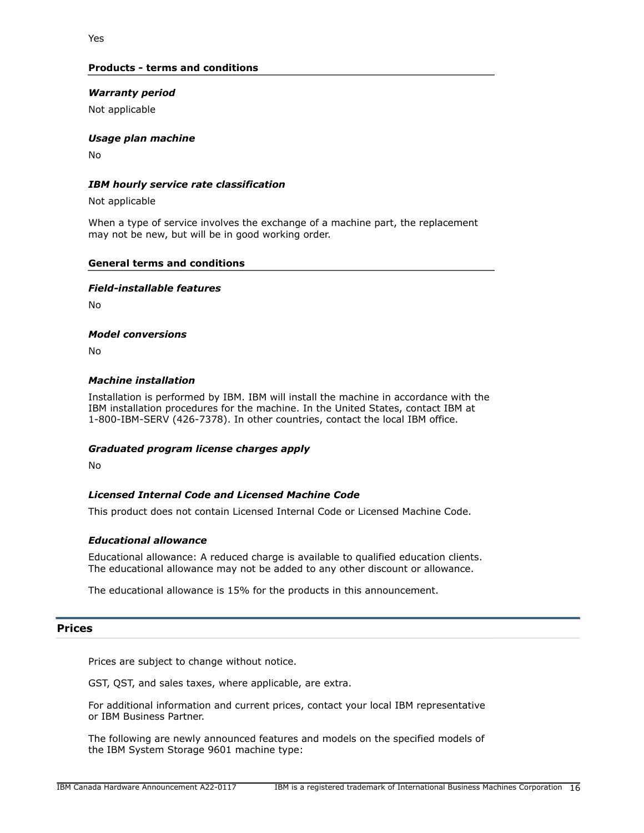## **Products - terms and conditions**

## *Warranty period*

Not applicable

#### *Usage plan machine*

No

## *IBM hourly service rate classification*

Not applicable

When a type of service involves the exchange of a machine part, the replacement may not be new, but will be in good working order.

#### **General terms and conditions**

#### *Field-installable features*

 $N<sub>0</sub>$ 

#### *Model conversions*

No

#### *Machine installation*

Installation is performed by IBM. IBM will install the machine in accordance with the IBM installation procedures for the machine. In the United States, contact IBM at 1-800-IBM-SERV (426-7378). In other countries, contact the local IBM office.

#### *Graduated program license charges apply*

No

## *Licensed Internal Code and Licensed Machine Code*

This product does not contain Licensed Internal Code or Licensed Machine Code.

#### *Educational allowance*

Educational allowance: A reduced charge is available to qualified education clients. The educational allowance may not be added to any other discount or allowance.

The educational allowance is 15% for the products in this announcement.

#### <span id="page-15-0"></span>**Prices**

Prices are subject to change without notice.

GST, QST, and sales taxes, where applicable, are extra.

For additional information and current prices, contact your local IBM representative or IBM Business Partner.

The following are newly announced features and models on the specified models of the IBM System Storage 9601 machine type: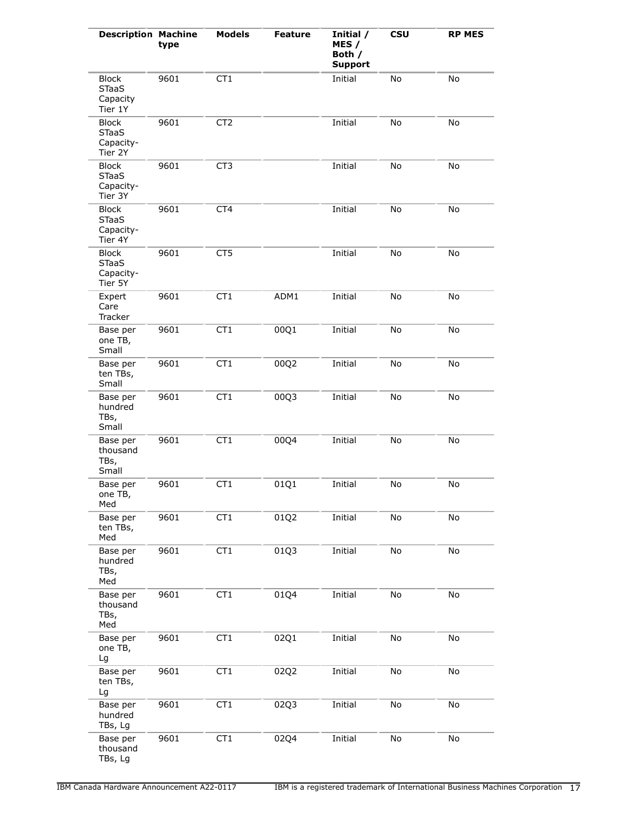| <b>Description Machine</b>                           | type | <b>Models</b>   | <b>Feature</b> | Initial /<br>MES /<br>Both /<br><b>Support</b> | <b>CSU</b> | <b>RP MES</b> |
|------------------------------------------------------|------|-----------------|----------------|------------------------------------------------|------------|---------------|
| <b>Block</b><br><b>STaaS</b><br>Capacity<br>Tier 1Y  | 9601 | CT <sub>1</sub> |                | Initial                                        | No         | No            |
| <b>Block</b><br><b>STaaS</b><br>Capacity-<br>Tier 2Y | 9601 | CT <sub>2</sub> |                | Initial                                        | No         | No            |
| <b>Block</b><br><b>STaaS</b><br>Capacity-<br>Tier 3Y | 9601 | CT <sub>3</sub> |                | Initial                                        | No         | No            |
| <b>Block</b><br><b>STaaS</b><br>Capacity-<br>Tier 4Y | 9601 | CT <sub>4</sub> |                | Initial                                        | No         | No            |
| <b>Block</b><br><b>STaaS</b><br>Capacity-<br>Tier 5Y | 9601 | CT5             |                | Initial                                        | No         | No            |
| Expert<br>Care<br><b>Tracker</b>                     | 9601 | CT <sub>1</sub> | ADM1           | Initial                                        | No         | No            |
| Base per<br>one TB,<br>Small                         | 9601 | CT <sub>1</sub> | 00Q1           | Initial                                        | No         | No            |
| Base per<br>ten TBs,<br>Small                        | 9601 | CT <sub>1</sub> | 00Q2           | Initial                                        | No         | No            |
| Base per<br>hundred<br>TBs,<br>Small                 | 9601 | CT <sub>1</sub> | 00Q3           | Initial                                        | No         | No            |
| Base per<br>thousand<br>TBs,<br>Small                | 9601 | CT1             | 00Q4           | Initial                                        | No         | No            |
| Base per<br>one TB,<br>Med                           | 9601 | CT <sub>1</sub> | 01Q1           | Initial                                        | No         | No            |
| Base per<br>ten TBs,<br>Med                          | 9601 | CT <sub>1</sub> | 01Q2           | Initial                                        | No         | No            |
| Base per<br>hundred<br>TBs,<br>Med                   | 9601 | CT1             | 01Q3           | Initial                                        | No         | No            |
| Base per<br>thousand<br>TBs,<br>Med                  | 9601 | CT <sub>1</sub> | 01Q4           | Initial                                        | No         | No            |
| Base per<br>one TB,<br>Lg                            | 9601 | CT1             | 02Q1           | Initial                                        | No         | No            |
| Base per<br>ten TBs,<br>Lg                           | 9601 | CT1             | 02Q2           | Initial                                        | No         | No            |
| Base per<br>hundred<br>TBs, Lg                       | 9601 | CT <sub>1</sub> | 02Q3           | Initial                                        | No         | No            |
| Base per<br>thousand<br>TBs, Lg                      | 9601 | CT1             | 02Q4           | Initial                                        | No         | No            |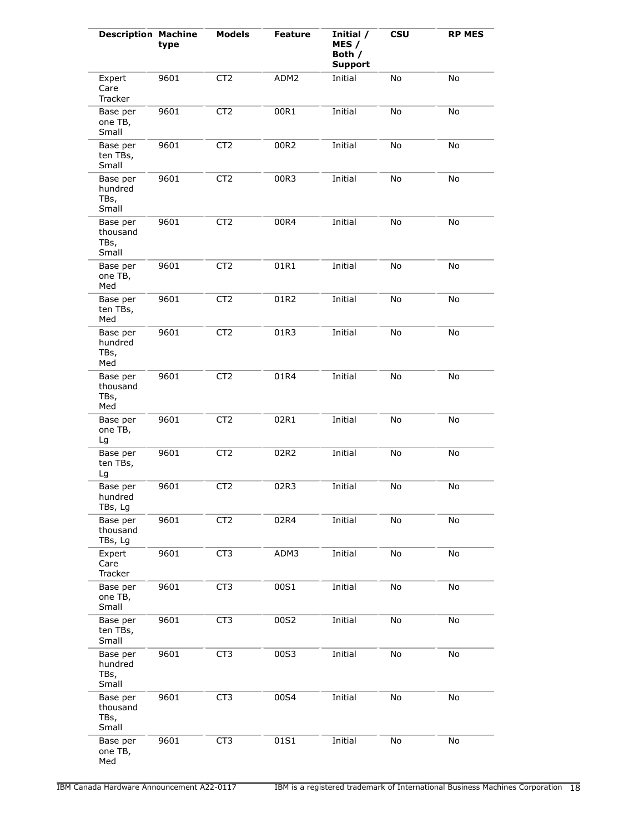| <b>Description Machine</b>            | type | <b>Models</b>   | <b>Feature</b> | Initial /<br>MES /<br>Both /<br><b>Support</b> | <b>CSU</b>                   | <b>RP MES</b> |
|---------------------------------------|------|-----------------|----------------|------------------------------------------------|------------------------------|---------------|
| Expert<br>Care<br>Tracker             | 9601 | CT <sub>2</sub> | ADM2           | Initial                                        | No                           | No            |
| Base per<br>one TB,<br>Small          | 9601 | CT <sub>2</sub> | 00R1           | Initial                                        | $\operatorname{\mathsf{No}}$ | No            |
| Base per<br>ten TBs,<br>Small         | 9601 | CT <sub>2</sub> | 00R2           | Initial                                        | No                           | No            |
| Base per<br>hundred<br>TBs,<br>Small  | 9601 | CT <sub>2</sub> | 00R3           | Initial                                        | No                           | No            |
| Base per<br>thousand<br>TBs,<br>Small | 9601 | CT <sub>2</sub> | 00R4           | Initial                                        | No                           | No            |
| Base per<br>one TB,<br>Med            | 9601 | CT <sub>2</sub> | 01R1           | Initial                                        | No                           | No            |
| Base per<br>ten TBs,<br>Med           | 9601 | CT <sub>2</sub> | 01R2           | Initial                                        | No                           | No            |
| Base per<br>hundred<br>TBs,<br>Med    | 9601 | CT <sub>2</sub> | 01R3           | Initial                                        | No                           | No            |
| Base per<br>thousand<br>TBs,<br>Med   | 9601 | CT <sub>2</sub> | 01R4           | Initial                                        | No                           | No            |
| Base per<br>one TB,<br>Lg             | 9601 | CT <sub>2</sub> | 02R1           | Initial                                        | No                           | No            |
| Base per<br>ten TBs,<br>Lg            | 9601 | CT <sub>2</sub> | 02R2           | Initial                                        | No                           | No            |
| Base per<br>hundred<br>TBs, Lg        | 9601 | CT <sub>2</sub> | 02R3           | Initial                                        | No                           | No            |
| Base per<br>thousand<br>TBs, Lg       | 9601 | CT <sub>2</sub> | 02R4           | Initial                                        | No                           | No            |
| Expert<br>Care<br>Tracker             | 9601 | CT <sub>3</sub> | ADM3           | Initial                                        | No                           | No            |
| Base per<br>one TB,<br>Small          | 9601 | CT <sub>3</sub> | 00S1           | Initial                                        | No                           | No            |
| Base per<br>ten TBs,<br>Small         | 9601 | CT <sub>3</sub> | 00S2           | Initial                                        | No                           | No            |
| Base per<br>hundred<br>TBs,<br>Small  | 9601 | CT <sub>3</sub> | 00S3           | Initial                                        | No                           | No            |
| Base per<br>thousand<br>TBs,<br>Small | 9601 | CT <sub>3</sub> | 00S4           | Initial                                        | No                           | No            |
| Base per<br>one TB,<br>Med            | 9601 | CT <sub>3</sub> | 01S1           | Initial                                        | No                           | No            |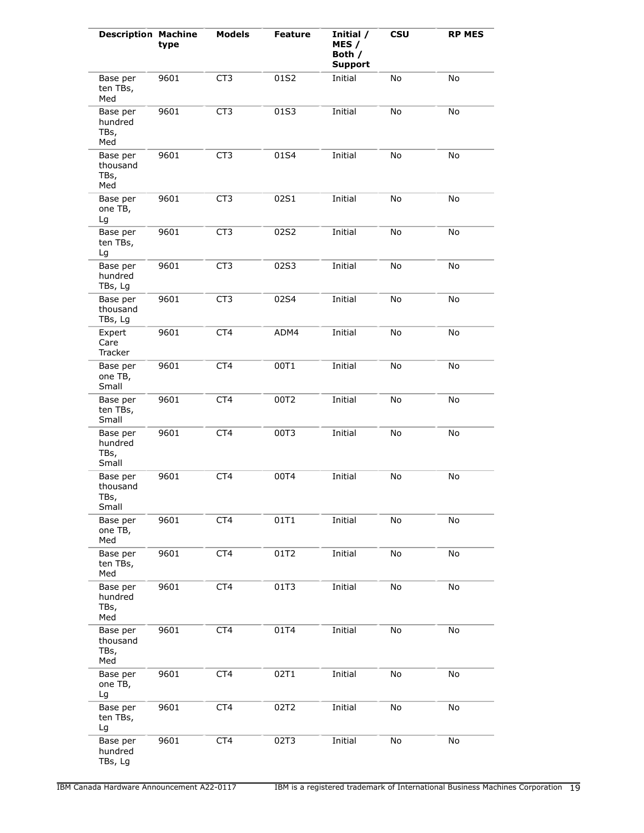| <b>Description Machine</b>            | type | <b>Models</b>   | <b>Feature</b> | Initial /<br>MES /<br>Both /<br><b>Support</b> | <b>CSU</b> | <b>RP MES</b> |
|---------------------------------------|------|-----------------|----------------|------------------------------------------------|------------|---------------|
| Base per<br>ten TBs,<br>Med           | 9601 | CT <sub>3</sub> | 01S2           | Initial                                        | No         | No            |
| Base per<br>hundred<br>TBs,<br>Med    | 9601 | CT <sub>3</sub> | 01S3           | Initial                                        | No         | No            |
| Base per<br>thousand<br>TBs,<br>Med   | 9601 | CT <sub>3</sub> | 01S4           | Initial                                        | No         | No            |
| Base per<br>one TB,<br>Lg             | 9601 | CT <sub>3</sub> | 02S1           | Initial                                        | No         | No            |
| Base per<br>ten TBs,<br>Lg            | 9601 | CT <sub>3</sub> | 02S2           | Initial                                        | No         | No            |
| Base per<br>hundred<br>TBs, Lg        | 9601 | CT <sub>3</sub> | 02S3           | Initial                                        | No         | No            |
| Base per<br>thousand<br>TBs, Lg       | 9601 | CT3             | 02S4           | Initial                                        | No         | No            |
| Expert<br>Care<br>Tracker             | 9601 | CT4             | ADM4           | Initial                                        | No         | No            |
| Base per<br>one TB,<br>Small          | 9601 | CT4             | 00T1           | Initial                                        | No         | No            |
| Base per<br>ten TBs,<br>Small         | 9601 | CT4             | 00T2           | Initial                                        | No         | No            |
| Base per<br>hundred<br>TBs,<br>Small  | 9601 | CT4             | 00T3           | Initial                                        | No         | No            |
| Base per<br>thousand<br>TBs,<br>Small | 9601 | CT4             | 00T4           | Initial                                        | No         | No            |
| Base per<br>one TB,<br>Med            | 9601 | CT <sub>4</sub> | 01T1           | Initial                                        | No         | No            |
| Base per<br>ten TBs,<br>Med           | 9601 | CT4             | 01T2           | Initial                                        | No         | No            |
| Base per<br>hundred<br>TBs,<br>Med    | 9601 | CT4             | 01T3           | Initial                                        | No         | No            |
| Base per<br>thousand<br>TBs,<br>Med   | 9601 | CT4             | 01T4           | Initial                                        | No         | No            |
| Base per<br>one TB,<br>Lg             | 9601 | CT4             | 02T1           | Initial                                        | No         | No            |
| Base per<br>ten TBs,<br>Lg            | 9601 | CT4             | 02T2           | Initial                                        | No         | No            |
| Base per<br>hundred<br>TBs, Lg        | 9601 | CT4             | 02T3           | Initial                                        | No         | No            |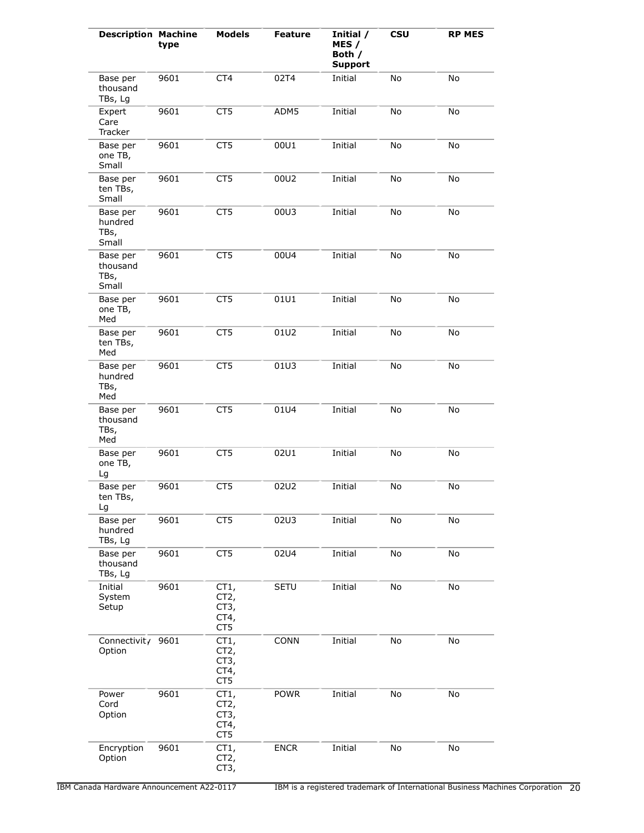| <b>Description Machine</b>            | type | <b>Models</b>                                    | <b>Feature</b> | Initial /<br>MES /<br>Both /<br><b>Support</b> | <b>CSU</b> | <b>RP MES</b> |
|---------------------------------------|------|--------------------------------------------------|----------------|------------------------------------------------|------------|---------------|
| Base per<br>thousand<br>TBs, Lg       | 9601 | CT4                                              | 02T4           | Initial                                        | No         | No            |
| Expert<br>Care<br>Tracker             | 9601 | CT5                                              | ADM5           | Initial                                        | No         | No            |
| Base per<br>one TB,<br>Small          | 9601 | CT <sub>5</sub>                                  | 00U1           | Initial                                        | No         | No            |
| Base per<br>ten TBs,<br>Small         | 9601 | CT5                                              | 00U2           | Initial                                        | No         | No            |
| Base per<br>hundred<br>TBs,<br>Small  | 9601 | CT5                                              | 00U3           | Initial                                        | No         | No            |
| Base per<br>thousand<br>TBs,<br>Small | 9601 | CT <sub>5</sub>                                  | 00U4           | Initial                                        | No         | No            |
| Base per<br>one TB,<br>Med            | 9601 | CT <sub>5</sub>                                  | 01U1           | Initial                                        | No         | No            |
| Base per<br>ten TBs,<br>Med           | 9601 | CT5                                              | 01U2           | Initial                                        | No         | No            |
| Base per<br>hundred<br>TBs,<br>Med    | 9601 | CT <sub>5</sub>                                  | 01U3           | Initial                                        | No         | No            |
| Base per<br>thousand<br>TBs,<br>Med   | 9601 | CT <sub>5</sub>                                  | 01U4           | Initial                                        | No         | No            |
| Base per<br>one TB,<br>Lg             | 9601 | CT <sub>5</sub>                                  | 02U1           | Initial                                        | No         | No            |
| Base per<br>ten TBs,<br>Lg            | 9601 | CT5                                              | 02U2           | Initial                                        | No         | No            |
| Base per<br>hundred<br>TBs, Lg        | 9601 | CT5                                              | 02U3           | Initial                                        | No         | No            |
| Base per<br>thousand<br>TBs, Lg       | 9601 | CT5                                              | 02U4           | Initial                                        | No         | No            |
| Initial<br>System<br>Setup            | 9601 | CT1,<br>CT <sub>2</sub><br>CT3,<br>CT4,<br>CT5   | <b>SETU</b>    | Initial                                        | No         | No            |
| Connectivit/<br>Option                | 9601 | CT1,<br>CT <sub>2</sub><br>CT3,<br>CT4,<br>CT5   | <b>CONN</b>    | Initial                                        | No         | No            |
| Power<br>Cord<br>Option               | 9601 | CT1,<br>CT <sub>2</sub> ,<br>CT3,<br>CT4,<br>CT5 | <b>POWR</b>    | Initial                                        | No         | No            |
| Encryption<br>Option                  | 9601 | CT1,<br>CT <sub>2</sub> ,<br>CT3,                | <b>ENCR</b>    | Initial                                        | No         | No            |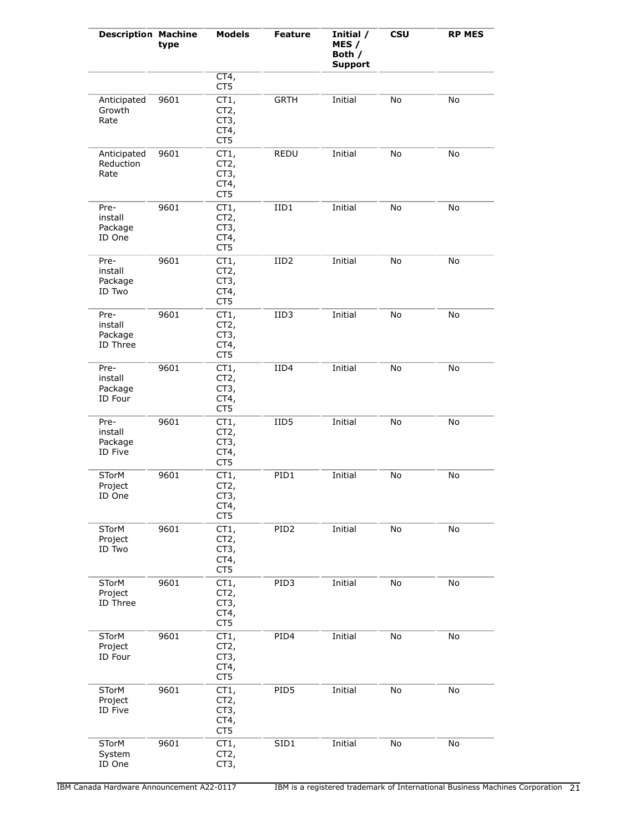| <b>Description Machine</b>             | type | <b>Models</b>                                              | Feature          | Initial /<br>MES /<br>Both /<br><b>Support</b> | <b>CSU</b> | <b>RP MES</b> |
|----------------------------------------|------|------------------------------------------------------------|------------------|------------------------------------------------|------------|---------------|
|                                        |      | CT4,<br>CT5                                                |                  |                                                |            |               |
| Anticipated<br>Growth<br>Rate          | 9601 | CT1,<br>CT <sub>2</sub><br>CT3,<br>CT4,<br>CT5             | <b>GRTH</b>      | Initial                                        | No         | No            |
| Anticipated<br>Reduction<br>Rate       | 9601 | CT1,<br>CT <sub>2</sub> ,<br>CT3,<br>CT4,<br>CT5           | <b>REDU</b>      | Initial                                        | No         | No            |
| Pre-<br>install<br>Package<br>ID One   | 9601 | CT1,<br>CT <sub>2</sub><br>CT3,<br>CT4,<br>CT <sub>5</sub> | IID1             | Initial                                        | No         | No            |
| Pre-<br>install<br>Package<br>ID Two   | 9601 | CT1,<br>CT2,<br>CT3,<br>CT4,<br>CT5                        | IID <sub>2</sub> | Initial                                        | No         | No            |
| Pre-<br>install<br>Package<br>ID Three | 9601 | CT1,<br>CT <sub>2</sub><br>CT3,<br>CT4,<br>CT5             | IID3             | Initial                                        | No         | No            |
| Pre-<br>install<br>Package<br>ID Four  | 9601 | CT1,<br>CT <sub>2</sub> ,<br>CT3,<br>CT4,<br>CT5           | IID4             | Initial                                        | No         | No            |
| Pre-<br>install<br>Package<br>ID Five  | 9601 | CT1,<br>CT <sub>2</sub><br>CT3,<br>CT4,<br>CT <sub>5</sub> | IID <sub>5</sub> | Initial                                        | No         | No            |
| <b>STorM</b><br>Project<br>ID One      | 9601 | CT1,<br>CT2,<br>CT <sub>3</sub><br>CT4,<br>CT5             | PID1             | Initial                                        | No         | No            |
| <b>STorM</b><br>Project<br>ID Two      | 9601 | CT1,<br>CT <sub>2</sub><br>CT3,<br>CT4,<br>CT5             | PID <sub>2</sub> | Initial                                        | No         | No            |
| <b>STorM</b><br>Project<br>ID Three    | 9601 | CT1,<br>CT2,<br>CT3,<br>CT4,<br>CT5                        | PID3             | Initial                                        | No         | No            |
| STorM<br>Project<br>ID Four            | 9601 | CT1,<br>CT <sub>2</sub><br>CT3,<br>CT4,<br>CT5             | PID4             | Initial                                        | No         | No            |
| <b>STorM</b><br>Project<br>ID Five     | 9601 | CT1,<br>CT <sub>2</sub><br>CT3,<br>CT4,<br>CT5             | PID5             | Initial                                        | No         | No            |
| <b>STorM</b><br>System<br>ID One       | 9601 | CT1,<br>CT <sub>2</sub> ,<br>CT3,                          | SID1             | Initial                                        | No         | No            |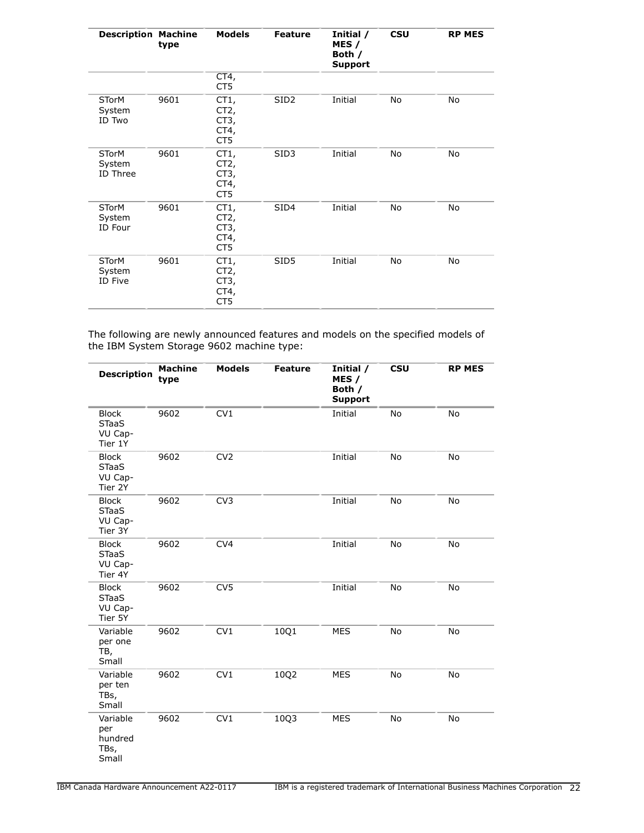| <b>Description Machine</b>         | type | <b>Models</b>                       | <b>Feature</b>   | Initial /<br>MES /<br>Both /<br><b>Support</b> | <b>CSU</b> | <b>RP MES</b> |
|------------------------------------|------|-------------------------------------|------------------|------------------------------------------------|------------|---------------|
|                                    |      | CT4,<br>CT5                         |                  |                                                |            |               |
| <b>STorM</b><br>System<br>ID Two   | 9601 | CT1,<br>CT2,<br>CT3,<br>CT4,<br>CT5 | SID <sub>2</sub> | Initial                                        | No         | No            |
| <b>STorM</b><br>System<br>ID Three | 9601 | CT1,<br>CT2,<br>CT3,<br>CT4,<br>CT5 | SID <sub>3</sub> | Initial                                        | No         | No            |
| <b>STorM</b><br>System<br>ID Four  | 9601 | CT1,<br>CT2,<br>CT3,<br>CT4,<br>CT5 | SID4             | Initial                                        | No         | No            |
| <b>STorM</b><br>System<br>ID Five  | 9601 | CT1,<br>CT2,<br>CT3,<br>CT4,<br>CT5 | SID5             | Initial                                        | No         | No            |

The following are newly announced features and models on the specified models of the IBM System Storage 9602 machine type:

| <b>Description</b>                                 | <b>Machine</b><br>type | <b>Models</b>   | <b>Feature</b> | Initial /<br>MES /<br>Both /<br><b>Support</b> | <b>CSU</b> | <b>RP MES</b> |
|----------------------------------------------------|------------------------|-----------------|----------------|------------------------------------------------|------------|---------------|
| <b>Block</b><br><b>STaaS</b><br>VU Cap-<br>Tier 1Y | 9602                   | CV1             |                | Initial                                        | No         | <b>No</b>     |
| <b>Block</b><br><b>STaaS</b><br>VU Cap-<br>Tier 2Y | 9602                   | CV <sub>2</sub> |                | Initial                                        | No         | <b>No</b>     |
| <b>Block</b><br><b>STaaS</b><br>VU Cap-<br>Tier 3Y | 9602                   | CV <sub>3</sub> |                | Initial                                        | No         | <b>No</b>     |
| <b>Block</b><br><b>STaaS</b><br>VU Cap-<br>Tier 4Y | 9602                   | CV4             |                | Initial                                        | No         | No            |
| <b>Block</b><br><b>STaaS</b><br>VU Cap-<br>Tier 5Y | 9602                   | CV <sub>5</sub> |                | Initial                                        | No         | No            |
| Variable<br>per one<br>TB,<br>Small                | 9602                   | CV1             | 10Q1           | <b>MES</b>                                     | No         | No            |
| Variable<br>per ten<br>TBs,<br>Small               | 9602                   | CV1             | 10Q2           | <b>MES</b>                                     | No         | <b>No</b>     |
| Variable<br>per<br>hundred<br>TBs,<br>Small        | 9602                   | CV1             | 10Q3           | <b>MES</b>                                     | No         | <b>No</b>     |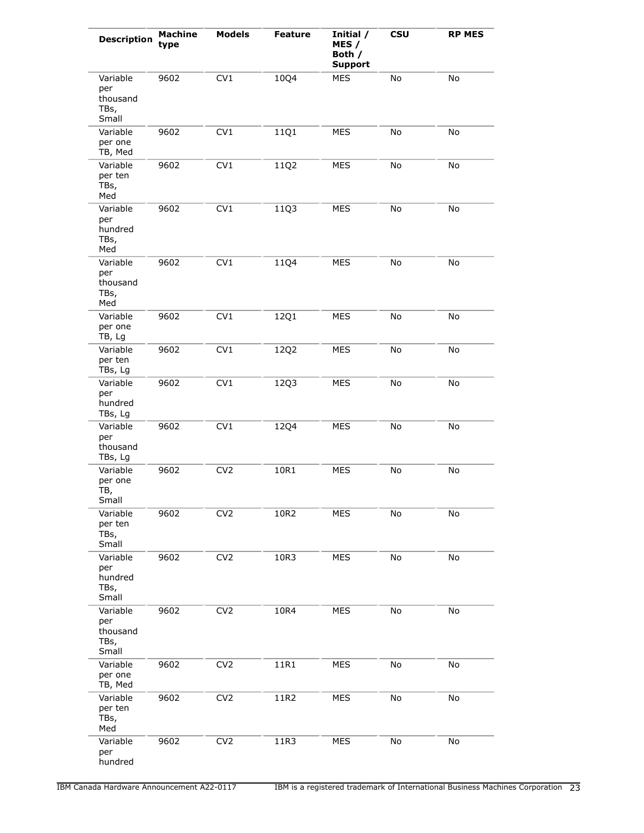| <b>Description</b>                           | <b>Machine</b><br>type | <b>Models</b>   | <b>Feature</b> | Initial /<br>MES /<br>Both /<br><b>Support</b> | <b>CSU</b> | <b>RP MES</b> |
|----------------------------------------------|------------------------|-----------------|----------------|------------------------------------------------|------------|---------------|
| Variable<br>per<br>thousand<br>TBs,<br>Small | 9602                   | CV1             | 10Q4           | <b>MES</b>                                     | No         | No            |
| Variable<br>per one<br>TB, Med               | 9602                   | CV1             | 11Q1           | <b>MES</b>                                     | No         | No            |
| Variable<br>per ten<br>TBs,<br>Med           | 9602                   | CV1             | 11Q2           | MES                                            | No         | No            |
| Variable<br>per<br>hundred<br>TBs,<br>Med    | 9602                   | CV1             | 11Q3           | MES                                            | No         | No            |
| Variable<br>per<br>thousand<br>TBs,<br>Med   | 9602                   | CV1             | 11Q4           | MES                                            | No         | No            |
| Variable<br>per one<br>TB, Lg                | 9602                   | CV1             | 12Q1           | MES                                            | No         | No            |
| Variable<br>per ten<br>TBs, Lg               | 9602                   | CV1             | 12Q2           | MES                                            | No         | No            |
| Variable<br>per<br>hundred<br>TBs, Lg        | 9602                   | CV1             | 12Q3           | MES                                            | No         | No            |
| Variable<br>per<br>thousand<br>TBs, Lg       | 9602                   | CV1             | 12Q4           | MES                                            | No         | No            |
| Variable<br>per one<br>TB,<br>Small          | 9602                   | CV <sub>2</sub> | 10R1           | <b>MES</b>                                     | No         | No            |
| Variable<br>per ten<br>TBs,<br>Small         | 9602                   | CV <sub>2</sub> | 10R2           | MES                                            | No         | No            |
| Variable<br>per<br>hundred<br>TBs,<br>Small  | 9602                   | CV <sub>2</sub> | 10R3           | MES                                            | No         | No            |
| Variable<br>per<br>thousand<br>TBs,<br>Small | 9602                   | CV <sub>2</sub> | 10R4           | MES                                            | No         | No            |
| Variable<br>per one<br>TB, Med               | 9602                   | CV <sub>2</sub> | 11R1           | MES                                            | No         | No            |
| Variable<br>per ten<br>TBs,<br>Med           | 9602                   | CV <sub>2</sub> | 11R2           | <b>MES</b>                                     | No         | No            |
| Variable<br>per<br>hundred                   | 9602                   | CV <sub>2</sub> | 11R3           | <b>MES</b>                                     | No         | No            |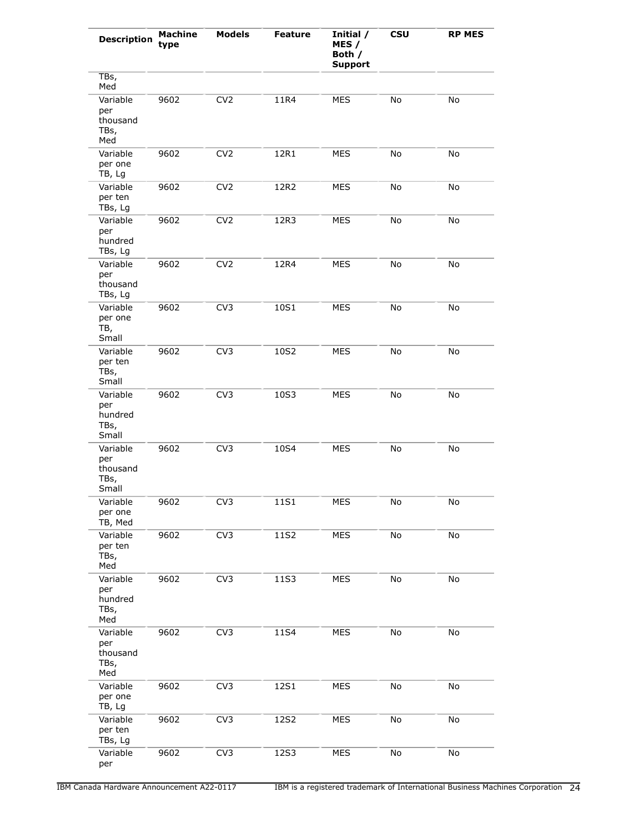| <b>Description</b>                           | <b>Machine</b><br>type | <b>Models</b>   | <b>Feature</b> | Initial /<br>MES /<br>Both /<br><b>Support</b> | <b>CSU</b> | <b>RP MES</b> |
|----------------------------------------------|------------------------|-----------------|----------------|------------------------------------------------|------------|---------------|
| TBs,<br>Med                                  |                        |                 |                |                                                |            |               |
| Variable<br>per<br>thousand<br>TBs,<br>Med   | 9602                   | CV <sub>2</sub> | 11R4           | <b>MES</b>                                     | No         | No            |
| Variable<br>per one<br>TB, Lg                | 9602                   | CV <sub>2</sub> | 12R1           | <b>MES</b>                                     | No         | No            |
| Variable<br>per ten<br>TBs, Lg               | 9602                   | CV <sub>2</sub> | 12R2           | <b>MES</b>                                     | No         | No            |
| Variable<br>per<br>hundred<br>TBs, Lg        | 9602                   | CV <sub>2</sub> | 12R3           | <b>MES</b>                                     | No         | No            |
| Variable<br>per<br>thousand<br>TBs, Lg       | 9602                   | CV <sub>2</sub> | 12R4           | <b>MES</b>                                     | No         | No            |
| Variable<br>per one<br>TB,<br>Small          | 9602                   | CV <sub>3</sub> | 10S1           | <b>MES</b>                                     | No         | No            |
| Variable<br>per ten<br>TBs,<br>Small         | 9602                   | CV <sub>3</sub> | 10S2           | <b>MES</b>                                     | No         | No            |
| Variable<br>per<br>hundred<br>TBs,<br>Small  | 9602                   | CV <sub>3</sub> | 10S3           | <b>MES</b>                                     | No         | No            |
| Variable<br>per<br>thousand<br>TBs,<br>Small | 9602                   | CV <sub>3</sub> | 10S4           | <b>MES</b>                                     | No         | No            |
| Variable<br>per one<br>TB, Med               | 9602                   | CV <sub>3</sub> | 11S1           | MES                                            | No         | No            |
| Variable<br>per ten<br>TBs,<br>Med           | 9602                   | CV <sub>3</sub> | 11S2           | <b>MES</b>                                     | No         | No            |
| Variable<br>per<br>hundred<br>TBs,<br>Med    | 9602                   | CV <sub>3</sub> | 11S3           | <b>MES</b>                                     | No         | No            |
| Variable<br>per<br>thousand<br>TBs,<br>Med   | 9602                   | CV <sub>3</sub> | 11S4           | <b>MES</b>                                     | No         | No            |
| Variable<br>per one<br>TB, Lg                | 9602                   | CV <sub>3</sub> | 12S1           | <b>MES</b>                                     | No         | No            |
| Variable<br>per ten<br>TBs, Lg               | 9602                   | CV <sub>3</sub> | 12S2           | MES                                            | No         | No            |
| Variable<br>per                              | 9602                   | CV <sub>3</sub> | 12S3           | <b>MES</b>                                     | No         | No            |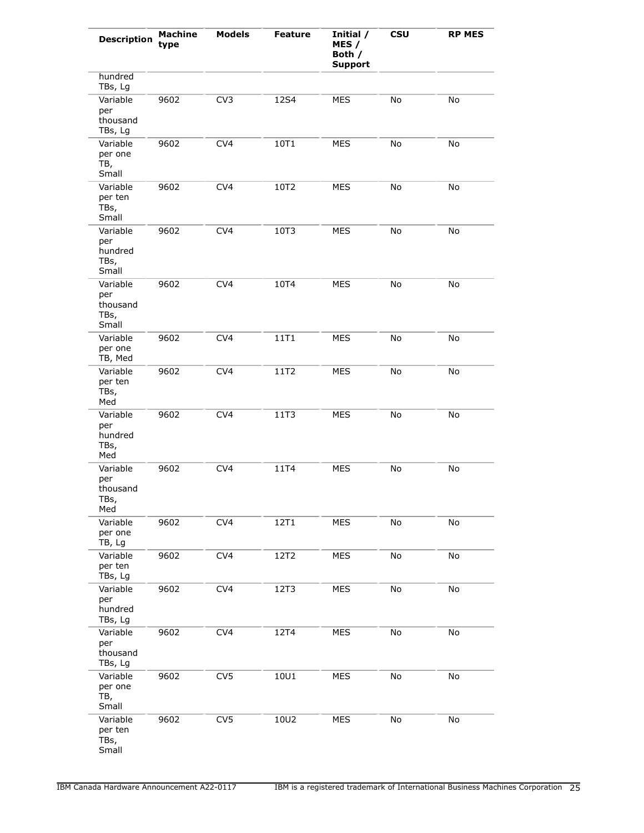| <b>Description</b>                           | <b>Machine</b><br>type | <b>Models</b>   | <b>Feature</b> | Initial /<br>MES /<br>Both /<br><b>Support</b> | <b>CSU</b> | <b>RP MES</b> |
|----------------------------------------------|------------------------|-----------------|----------------|------------------------------------------------|------------|---------------|
| hundred<br>TBs, Lg                           |                        |                 |                |                                                |            |               |
| Variable<br>per<br>thousand<br>TBs, Lg       | 9602                   | CV <sub>3</sub> | 12S4           | <b>MES</b>                                     | No         | No            |
| Variable<br>per one<br>TB,<br>Small          | 9602                   | CV <sub>4</sub> | 10T1           | <b>MES</b>                                     | No         | No            |
| Variable<br>per ten<br>TBs,<br>Small         | 9602                   | CV <sub>4</sub> | 10T2           | <b>MES</b>                                     | No         | No            |
| Variable<br>per<br>hundred<br>TBs,<br>Small  | 9602                   | CV <sub>4</sub> | 10T3           | <b>MES</b>                                     | No         | No            |
| Variable<br>per<br>thousand<br>TBs,<br>Small | 9602                   | CV <sub>4</sub> | 10T4           | <b>MES</b>                                     | No         | No            |
| Variable<br>per one<br>TB, Med               | 9602                   | CV <sub>4</sub> | 11T1           | <b>MES</b>                                     | No         | No            |
| Variable<br>per ten<br>TBs,<br>Med           | 9602                   | CV <sub>4</sub> | 11T2           | <b>MES</b>                                     | No         | No            |
| Variable<br>per<br>hundred<br>TBs,<br>Med    | 9602                   | CV <sub>4</sub> | 11T3           | <b>MES</b>                                     | No         | No            |
| Variable<br>per<br>thousand<br>TBs,<br>Med   | 9602                   | CV <sub>4</sub> | 11T4           | <b>MES</b>                                     | No         | No            |
| Variable<br>per one<br>TB, Lg                | 9602                   | CV4             | 12T1           | <b>MES</b>                                     | No         | No            |
| Variable<br>per ten<br>TBs, Lg               | 9602                   | CV <sub>4</sub> | 12T2           | <b>MES</b>                                     | No         | No            |
| Variable<br>per<br>hundred<br>TBs, Lg        | 9602                   | CV <sub>4</sub> | 12T3           | <b>MES</b>                                     | No         | No            |
| Variable<br>per<br>thousand<br>TBs, Lg       | 9602                   | CV <sub>4</sub> | 12T4           | <b>MES</b>                                     | No         | No            |
| Variable<br>per one<br>TB,<br>Small          | 9602                   | CV <sub>5</sub> | 10U1           | <b>MES</b>                                     | No         | No            |
| Variable<br>per ten<br>TBs,<br>Small         | 9602                   | CV <sub>5</sub> | 10U2           | <b>MES</b>                                     | No         | No            |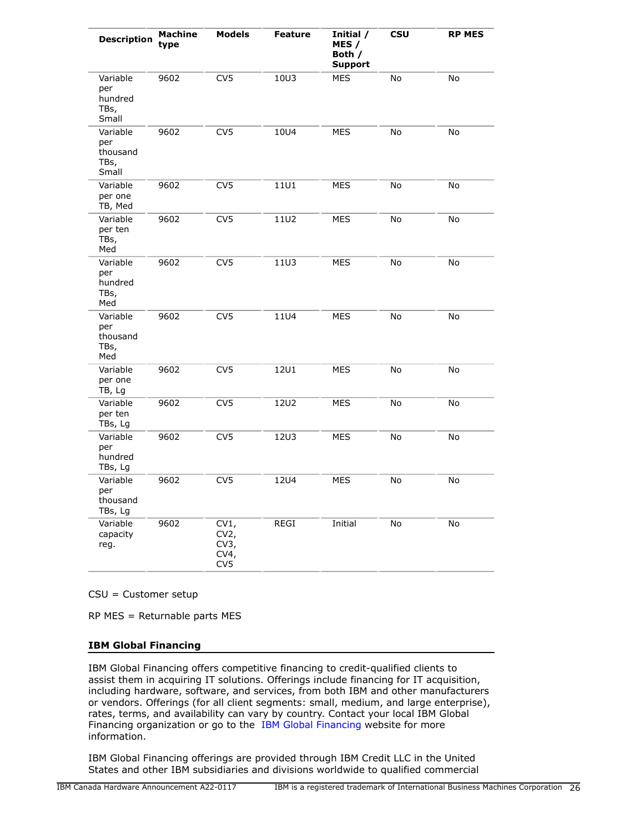| <b>Description</b>                           | <b>Machine</b><br>type | <b>Models</b>                          | <b>Feature</b> | Initial /<br>MES /<br>Both /<br><b>Support</b> | <b>CSU</b> | <b>RP MES</b> |
|----------------------------------------------|------------------------|----------------------------------------|----------------|------------------------------------------------|------------|---------------|
| Variable<br>per<br>hundred<br>TBs,<br>Small  | 9602                   | CV <sub>5</sub>                        | 10U3           | <b>MES</b>                                     | No         | No            |
| Variable<br>per<br>thousand<br>TBs,<br>Small | 9602                   | CV <sub>5</sub>                        | 10U4           | <b>MES</b>                                     | No         | No            |
| Variable<br>per one<br>TB, Med               | 9602                   | CV <sub>5</sub>                        | 1101           | <b>MES</b>                                     | No         | No            |
| Variable<br>per ten<br>TBs,<br>Med           | 9602                   | CV <sub>5</sub>                        | 11U2           | <b>MES</b>                                     | <b>No</b>  | No            |
| Variable<br>per<br>hundred<br>TBs,<br>Med    | 9602                   | CV <sub>5</sub>                        | <b>11U3</b>    | <b>MES</b>                                     | No         | No            |
| Variable<br>per<br>thousand<br>TBs,<br>Med   | 9602                   | CV <sub>5</sub>                        | <b>11U4</b>    | <b>MES</b>                                     | No         | No            |
| Variable<br>per one<br>TB, Lg                | 9602                   | CV <sub>5</sub>                        | <b>12U1</b>    | <b>MES</b>                                     | No         | No            |
| Variable<br>per ten<br>TBs, Lg               | 9602                   | CV <sub>5</sub>                        | <b>12U2</b>    | <b>MES</b>                                     | No         | No            |
| Variable<br>per<br>hundred<br>TBs, Lg        | 9602                   | CV <sub>5</sub>                        | <b>12U3</b>    | MES                                            | No         | No            |
| Variable<br>per<br>thousand<br>TBs, Lg       | 9602                   | CV <sub>5</sub>                        | <b>12U4</b>    | MES                                            | No         | No            |
| Variable<br>capacity<br>reg.                 | 9602                   | CV1,<br>$CV2$ ,<br>CV3,<br>CV4,<br>CV5 | REGI           | Initial                                        | No         | No            |

CSU = Customer setup

RP MES = Returnable parts MES

## **IBM Global Financing**

IBM Global Financing offers competitive financing to credit-qualified clients to assist them in acquiring IT solutions. Offerings include financing for IT acquisition, including hardware, software, and services, from both IBM and other manufacturers or vendors. Offerings (for all client segments: small, medium, and large enterprise), rates, terms, and availability can vary by country. Contact your local IBM Global Financing organization or go to the [IBM Global Financing](http://www.ibm.com/financing) website for more information.

IBM Global Financing offerings are provided through IBM Credit LLC in the United States and other IBM subsidiaries and divisions worldwide to qualified commercial